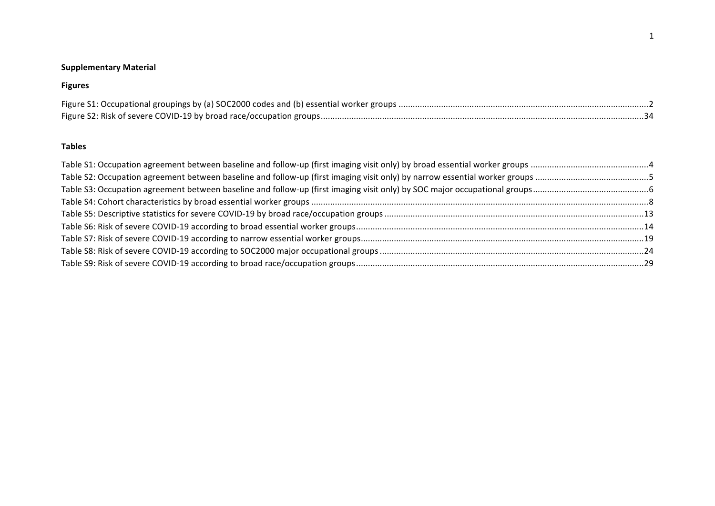## **Supplementary Material**

## **Figures**

## **Tables**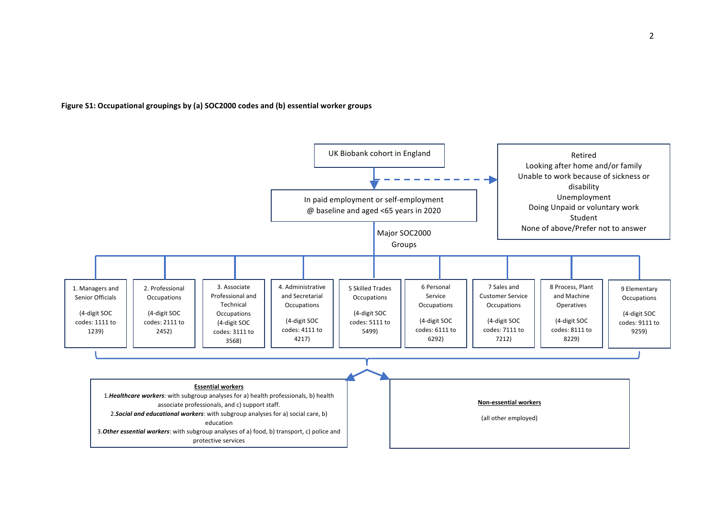Figure S1: Occupational groupings by (a) SOC2000 codes and (b) essential worker groups

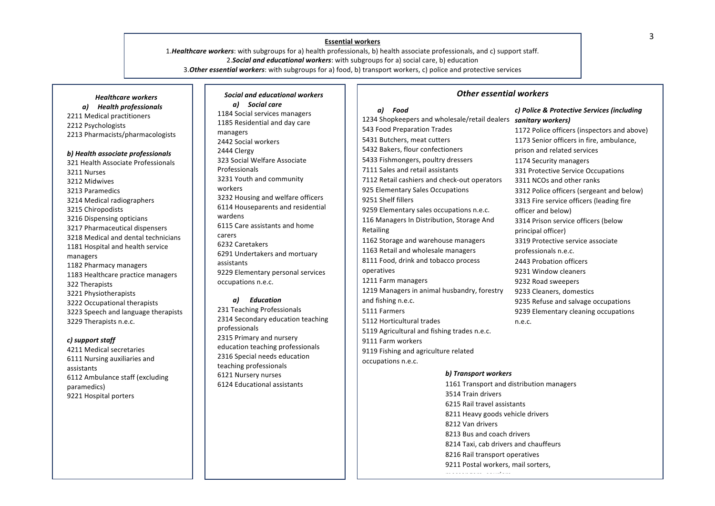# **Essential workers** and the set of the set of the set of the set of the set of the set of the set of the set of the set of the set of the set of the set of the set of the set of the set of the set of the set of the set of

1.*Healthcare workers*: with subgroups for a) health professionals, b) health associate professionals, and c) support staff. 2. Social and educational workers: with subgroups for a) social care, b) education 3. Other essential workers: with subgroups for a) food, b) transport workers, c) police and protective services

*Healthcare workers a) Health professionals* 2211 Medical practitioners 2212 Psychologists 2213 Pharmacists/pharmacologists

### *b) Health associate professionals*  321 Health Associate Professionals 3211 Nurses 3212 Midwives 3213 Paramedics 3214 Medical radiographers 3215 Chiropodists 3216 Dispensing opticians 3217 Pharmaceutical dispensers 3218 Medical and dental technicians 1181 Hospital and health service managers 1182 Pharmacy managers 1183 Healthcare practice managers 322 Therapists 3221 Physiotherapists 3222 Occupational therapists 3223 Speech and language therapists 3229 Therapists n.e.c.

#### *c) support staff*

4211 Medical secretaries 6111 Nursing auxiliaries and assistants 6112 Ambulance staff (excluding paramedics) 9221 Hospital porters

*Social and educational workers a) Social care*  1184 Social services managers 1185 Residential and day care managers 2442 Social workers 2444 Clergy 323 Social Welfare Associate Professionals 3231 Youth and community workers 3232 Housing and welfare officers 6114 Houseparents and residential wardens 6115 Care assistants and home carers 6232 Caretakers 6291 Undertakers and mortuary assistants 9229 Elementary personal services occupations n.e.c.

#### *a) Education*

231 Teaching Professionals 2314 Secondary education teaching professionals 2315 Primary and nursery education teaching professionals 2316 Special needs education teaching professionals **6121 Nursery nurses** 6124 Educational assistants

## *Other essential workers*

#### *a) Food*

1234 Shopkeepers and wholesale/retail dealers *sanitary workers)* 543 Food Preparation Trades 5431 Butchers, meat cutters 5432 Bakers, flour confectioners 5433 Fishmongers, poultry dressers 7111 Sales and retail assistants 7112 Retail cashiers and check-out operators 925 Elementary Sales Occupations 9251 Shelf fillers 9259 Elementary sales occupations n.e.c. 116 Managers In Distribution, Storage And Retailing 1162 Storage and warehouse managers 1163 Retail and wholesale managers 8111 Food, drink and tobacco process operatives 1211 Farm managers 1219 Managers in animal husbandry, forestry and fishing n.e.c. 5111 Farmers 5112 Horticultural trades 5119 Agricultural and fishing trades n.e.c. 9111 Farm workers 9119 Fishing and agriculture related occupations n.e.c.

# *c) Police & Protective Services (including*

1172 Police officers (inspectors and above) 1173 Senior officers in fire, ambulance, prison and related services 1174 Security managers 331 Protective Service Occupations 3311 NCOs and other ranks 3312 Police officers (sergeant and below) 3313 Fire service officers (leading fire officer and below) 3314 Prison service officers (below principal officer) 3319 Protective service associate professionals n.e.c. 2443 Probation officers 9231 Window cleaners 9232 Road sweepers 9233 Cleaners, domestics 9235 Refuse and salvage occupations 9239 Elementary cleaning occupations n.e.c. 

#### *b) Transport workers*

messengers, couriers

1161 Transport and distribution managers 3514 Train drivers 6215 Rail travel assistants 8211 Heavy goods vehicle drivers 8212 Van drivers 8213 Bus and coach drivers 8214 Taxi, cab drivers and chauffeurs 8216 Rail transport operatives 9211 Postal workers, mail sorters,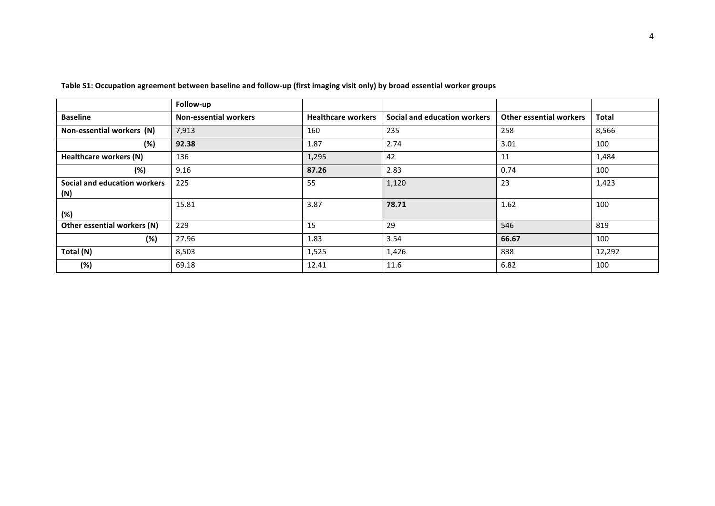|                                     | Follow-up                    |                           |                              |                                |              |
|-------------------------------------|------------------------------|---------------------------|------------------------------|--------------------------------|--------------|
| <b>Baseline</b>                     | <b>Non-essential workers</b> | <b>Healthcare workers</b> | Social and education workers | <b>Other essential workers</b> | <b>Total</b> |
| Non-essential workers (N)           | 7,913                        | 160                       | 235                          | 258                            | 8,566        |
| (%)                                 | 92.38                        | 1.87                      | 2.74                         | 3.01                           | 100          |
| Healthcare workers (N)              | 136                          | 1,295                     | 42                           | 11                             | 1,484        |
| (%)                                 | 9.16                         | 87.26                     | 2.83                         | 0.74                           | 100          |
| Social and education workers<br>(N) | 225                          | 55                        | 1,120                        | 23                             | 1,423        |
| (%)                                 | 15.81                        | 3.87                      | 78.71                        | 1.62                           | 100          |
| Other essential workers (N)         | 229                          | 15                        | 29                           | 546                            | 819          |
| (%)                                 | 27.96                        | 1.83                      | 3.54                         | 66.67                          | 100          |
| Total (N)                           | 8,503                        | 1,525                     | 1,426                        | 838                            | 12,292       |
| (%)                                 | 69.18                        | 12.41                     | 11.6                         | 6.82                           | 100          |

Table S1: Occupation agreement between baseline and follow-up (first imaging visit only) by broad essential worker groups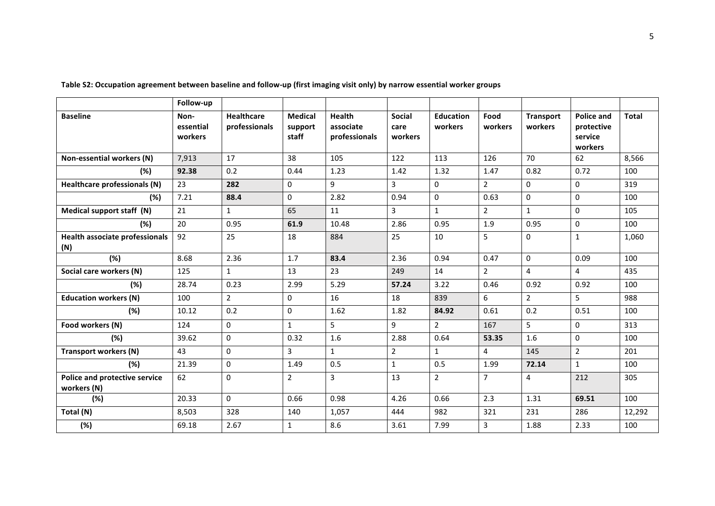|                                                     | Follow-up                    |                                    |                                    |                                             |                                  |                             |                 |                             |                                                       |              |
|-----------------------------------------------------|------------------------------|------------------------------------|------------------------------------|---------------------------------------------|----------------------------------|-----------------------------|-----------------|-----------------------------|-------------------------------------------------------|--------------|
| <b>Baseline</b>                                     | Non-<br>essential<br>workers | <b>Healthcare</b><br>professionals | <b>Medical</b><br>support<br>staff | <b>Health</b><br>associate<br>professionals | <b>Social</b><br>care<br>workers | <b>Education</b><br>workers | Food<br>workers | <b>Transport</b><br>workers | <b>Police and</b><br>protective<br>service<br>workers | <b>Total</b> |
| Non-essential workers (N)                           | 7,913                        | 17                                 | 38                                 | 105                                         | 122                              | 113                         | 126             | 70                          | 62                                                    | 8,566        |
| (%)                                                 | 92.38                        | 0.2                                | 0.44                               | 1.23                                        | 1.42                             | 1.32                        | 1.47            | 0.82                        | 0.72                                                  | 100          |
| Healthcare professionals (N)                        | 23                           | 282                                | $\Omega$                           | 9                                           | $\overline{3}$                   | $\Omega$                    | $\overline{2}$  | $\Omega$                    | $\Omega$                                              | 319          |
| (%)                                                 | 7.21                         | 88.4                               | $\mathbf 0$                        | 2.82                                        | 0.94                             | $\mathbf 0$                 | 0.63            | $\Omega$                    | $\Omega$                                              | 100          |
| Medical support staff (N)                           | 21                           | $\mathbf{1}$                       | 65                                 | 11                                          | 3                                | $\mathbf{1}$                | $\overline{2}$  | $\mathbf{1}$                | $\Omega$                                              | 105          |
| (%)                                                 | 20                           | 0.95                               | 61.9                               | 10.48                                       | 2.86                             | 0.95                        | 1.9             | 0.95                        | $\mathbf 0$                                           | 100          |
| Health associate professionals<br>(N)               | 92                           | 25                                 | 18                                 | 884                                         | 25                               | 10                          | 5               | $\mathbf 0$                 | $\mathbf{1}$                                          | 1,060        |
| (%)                                                 | 8.68                         | 2.36                               | 1.7                                | 83.4                                        | 2.36                             | 0.94                        | 0.47            | $\mathbf{0}$                | 0.09                                                  | 100          |
| Social care workers (N)                             | 125                          | $\mathbf{1}$                       | 13                                 | 23                                          | 249                              | 14                          | $\overline{2}$  | $\overline{4}$              | 4                                                     | 435          |
| (%)                                                 | 28.74                        | 0.23                               | 2.99                               | 5.29                                        | 57.24                            | 3.22                        | 0.46            | 0.92                        | 0.92                                                  | 100          |
| <b>Education workers (N)</b>                        | 100                          | $\overline{2}$                     | $\mathbf{0}$                       | 16                                          | 18                               | 839                         | 6               | $\overline{2}$              | 5                                                     | 988          |
| (%)                                                 | 10.12                        | 0.2                                | $\mathbf 0$                        | 1.62                                        | 1.82                             | 84.92                       | 0.61            | 0.2                         | 0.51                                                  | 100          |
| Food workers (N)                                    | 124                          | $\Omega$                           | $\mathbf{1}$                       | 5                                           | 9                                | $\overline{2}$              | 167             | 5                           | $\Omega$                                              | 313          |
| (%)                                                 | 39.62                        | $\Omega$                           | 0.32                               | 1.6                                         | 2.88                             | 0.64                        | 53.35           | 1.6                         | $\Omega$                                              | 100          |
| <b>Transport workers (N)</b>                        | 43                           | $\Omega$                           | $\overline{3}$                     | $\mathbf{1}$                                | $\overline{2}$                   | $\mathbf{1}$                | $\overline{4}$  | 145                         | $\overline{2}$                                        | 201          |
| (%)                                                 | 21.39                        | $\mathbf 0$                        | 1.49                               | 0.5                                         | $\mathbf{1}$                     | 0.5                         | 1.99            | 72.14                       | $\mathbf{1}$                                          | 100          |
| <b>Police and protective service</b><br>workers (N) | 62                           | $\mathbf{0}$                       | $\overline{2}$                     | 3                                           | 13                               | $\overline{2}$              | $\overline{7}$  | 4                           | 212                                                   | 305          |
| (%)                                                 | 20.33                        | $\mathbf 0$                        | 0.66                               | 0.98                                        | 4.26                             | 0.66                        | 2.3             | 1.31                        | 69.51                                                 | 100          |
| Total (N)                                           | 8,503                        | 328                                | 140                                | 1,057                                       | 444                              | 982                         | 321             | 231                         | 286                                                   | 12,292       |
| (%)                                                 | 69.18                        | 2.67                               | $\mathbf{1}$                       | 8.6                                         | 3.61                             | 7.99                        | $\mathbf{3}$    | 1.88                        | 2.33                                                  | 100          |

Table S2: Occupation agreement between baseline and follow-up (first imaging visit only) by narrow essential worker groups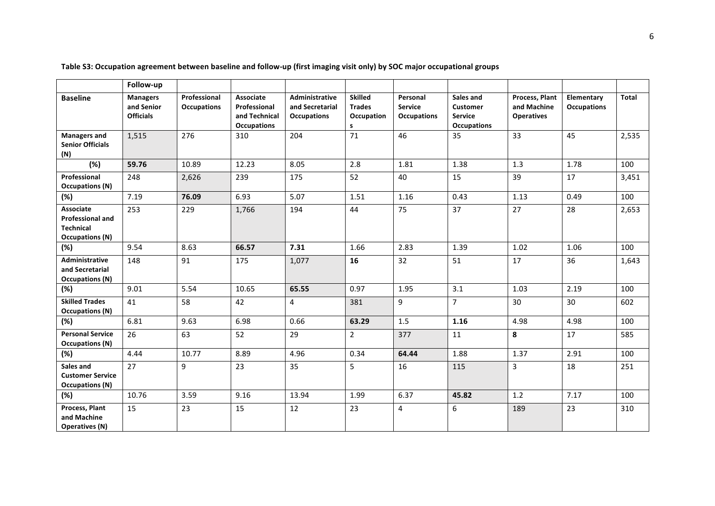|                                                                                    | Follow-up                                         |                                    |                                                                  |                                                         |                                                    |                                                  |                                                                      |                                                    |                                  |       |
|------------------------------------------------------------------------------------|---------------------------------------------------|------------------------------------|------------------------------------------------------------------|---------------------------------------------------------|----------------------------------------------------|--------------------------------------------------|----------------------------------------------------------------------|----------------------------------------------------|----------------------------------|-------|
| <b>Baseline</b>                                                                    | <b>Managers</b><br>and Senior<br><b>Officials</b> | Professional<br><b>Occupations</b> | Associate<br>Professional<br>and Technical<br><b>Occupations</b> | Administrative<br>and Secretarial<br><b>Occupations</b> | <b>Skilled</b><br><b>Trades</b><br>Occupation<br>s | Personal<br><b>Service</b><br><b>Occupations</b> | Sales and<br><b>Customer</b><br><b>Service</b><br><b>Occupations</b> | Process, Plant<br>and Machine<br><b>Operatives</b> | Elementary<br><b>Occupations</b> | Total |
| <b>Managers and</b><br><b>Senior Officials</b><br>(N)                              | 1,515                                             | 276                                | 310                                                              | 204                                                     | 71                                                 | 46                                               | 35                                                                   | 33                                                 | 45                               | 2,535 |
| (%)                                                                                | 59.76                                             | 10.89                              | 12.23                                                            | 8.05                                                    | 2.8                                                | 1.81                                             | 1.38                                                                 | 1.3                                                | 1.78                             | 100   |
| Professional<br><b>Occupations (N)</b>                                             | 248                                               | 2,626                              | 239                                                              | 175                                                     | 52                                                 | 40                                               | 15                                                                   | 39                                                 | 17                               | 3,451 |
| (%)                                                                                | 7.19                                              | 76.09                              | 6.93                                                             | 5.07                                                    | 1.51                                               | 1.16                                             | 0.43                                                                 | 1.13                                               | 0.49                             | 100   |
| Associate<br><b>Professional and</b><br><b>Technical</b><br><b>Occupations (N)</b> | 253                                               | 229                                | 1,766                                                            | 194                                                     | 44                                                 | 75                                               | 37                                                                   | 27                                                 | 28                               | 2,653 |
| (%)                                                                                | 9.54                                              | 8.63                               | 66.57                                                            | 7.31                                                    | 1.66                                               | 2.83                                             | 1.39                                                                 | 1.02                                               | 1.06                             | 100   |
| Administrative<br>and Secretarial<br><b>Occupations (N)</b>                        | 148                                               | 91                                 | 175                                                              | 1,077                                                   | 16                                                 | 32                                               | 51                                                                   | 17                                                 | 36                               | 1,643 |
| (%)                                                                                | 9.01                                              | 5.54                               | 10.65                                                            | 65.55                                                   | 0.97                                               | 1.95                                             | 3.1                                                                  | 1.03                                               | 2.19                             | 100   |
| <b>Skilled Trades</b><br><b>Occupations (N)</b>                                    | 41                                                | 58                                 | 42                                                               | $\overline{4}$                                          | 381                                                | 9                                                | $\overline{7}$                                                       | 30                                                 | 30                               | 602   |
| (%)                                                                                | 6.81                                              | 9.63                               | 6.98                                                             | 0.66                                                    | 63.29                                              | 1.5                                              | 1.16                                                                 | 4.98                                               | 4.98                             | 100   |
| <b>Personal Service</b><br><b>Occupations (N)</b>                                  | 26                                                | 63                                 | 52                                                               | 29                                                      | $\overline{2}$                                     | 377                                              | 11                                                                   | 8                                                  | 17                               | 585   |
| (%)                                                                                | 4.44                                              | 10.77                              | 8.89                                                             | 4.96                                                    | 0.34                                               | 64.44                                            | 1.88                                                                 | 1.37                                               | 2.91                             | 100   |
| Sales and<br><b>Customer Service</b><br><b>Occupations (N)</b>                     | 27                                                | 9                                  | 23                                                               | 35                                                      | 5                                                  | 16                                               | 115                                                                  | $\mathbf{3}$                                       | 18                               | 251   |
| (%)                                                                                | 10.76                                             | 3.59                               | 9.16                                                             | 13.94                                                   | 1.99                                               | 6.37                                             | 45.82                                                                | 1.2                                                | 7.17                             | 100   |
| Process, Plant<br>and Machine<br><b>Operatives (N)</b>                             | 15                                                | 23                                 | 15                                                               | 12                                                      | 23                                                 | 4                                                | $\boldsymbol{6}$                                                     | 189                                                | 23                               | 310   |

Table S3: Occupation agreement between baseline and follow-up (first imaging visit only) by SOC major occupational groups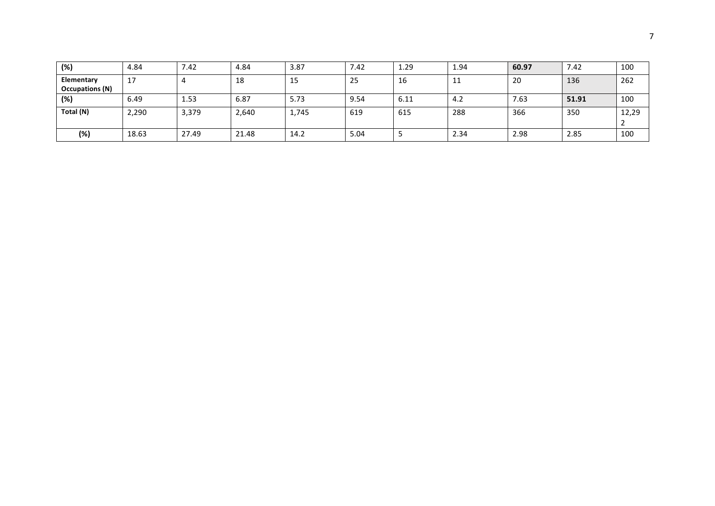| (%)                                  | 4.84  | 7.42  | 4.84  | 3.87  | 7.42 | 1.29 | 1.94 | 60.97 | 7.42  | 100   |
|--------------------------------------|-------|-------|-------|-------|------|------|------|-------|-------|-------|
| Elementary<br><b>Occupations (N)</b> | 17    |       | 18    | 15    | 25   | 16   | ᆠᆂ   | 20    | 136   | 262   |
| (%)                                  | 6.49  | 1.53  | 6.87  | 5.73  | 9.54 | 6.11 | 4.2  | 7.63  | 51.91 | 100   |
| Total (N)                            | 2,290 | 3,379 | 2,640 | 1,745 | 619  | 615  | 288  | 366   | 350   | 12,29 |
| (%)                                  | 18.63 | 27.49 | 21.48 | 14.2  | 5.04 |      | 2.34 | 2.98  | 2.85  | 100   |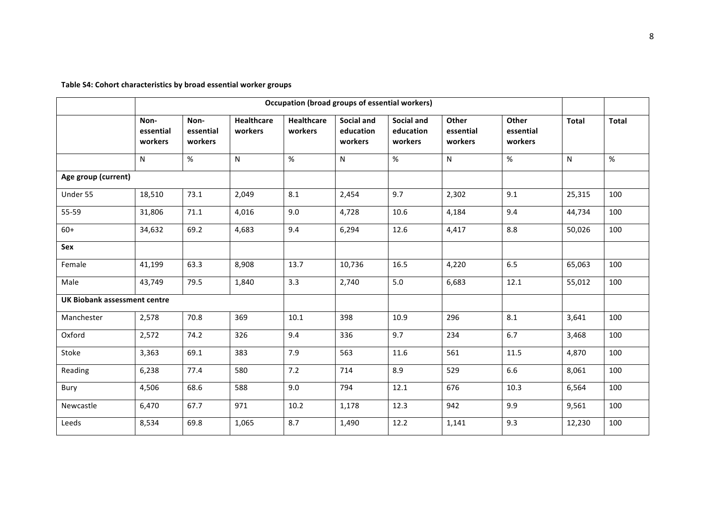Table S4: Cohort characteristics by broad essential worker groups

|                                     |                              |                              |                              | Occupation (broad groups of essential workers) |                                           |                                           |                               |                               |              |              |
|-------------------------------------|------------------------------|------------------------------|------------------------------|------------------------------------------------|-------------------------------------------|-------------------------------------------|-------------------------------|-------------------------------|--------------|--------------|
|                                     | Non-<br>essential<br>workers | Non-<br>essential<br>workers | <b>Healthcare</b><br>workers | <b>Healthcare</b><br>workers                   | <b>Social and</b><br>education<br>workers | <b>Social and</b><br>education<br>workers | Other<br>essential<br>workers | Other<br>essential<br>workers | <b>Total</b> | <b>Total</b> |
|                                     | N                            | %                            | N                            | %                                              | N                                         | %                                         | ${\sf N}$                     | $\%$                          | N            | $\%$         |
| Age group (current)                 |                              |                              |                              |                                                |                                           |                                           |                               |                               |              |              |
| Under 55                            | 18,510                       | 73.1                         | 2,049                        | 8.1                                            | 2,454                                     | 9.7                                       | 2,302                         | 9.1                           | 25,315       | 100          |
| 55-59                               | 31,806                       | 71.1                         | 4,016                        | 9.0                                            | 4,728                                     | 10.6                                      | 4,184                         | 9.4                           | 44,734       | 100          |
| $60+$                               | 34,632                       | 69.2                         | 4,683                        | 9.4                                            | 6,294                                     | 12.6                                      | 4,417                         | 8.8                           | 50,026       | 100          |
| Sex                                 |                              |                              |                              |                                                |                                           |                                           |                               |                               |              |              |
| Female                              | 41,199                       | 63.3                         | 8,908                        | 13.7                                           | 10,736                                    | 16.5                                      | 4,220                         | 6.5                           | 65,063       | 100          |
| Male                                | 43,749                       | 79.5                         | 1,840                        | 3.3                                            | 2,740                                     | 5.0                                       | 6,683                         | 12.1                          | 55,012       | 100          |
| <b>UK Biobank assessment centre</b> |                              |                              |                              |                                                |                                           |                                           |                               |                               |              |              |
| Manchester                          | 2,578                        | 70.8                         | 369                          | 10.1                                           | 398                                       | 10.9                                      | 296                           | 8.1                           | 3,641        | 100          |
| Oxford                              | 2,572                        | 74.2                         | 326                          | 9.4                                            | 336                                       | 9.7                                       | 234                           | 6.7                           | 3,468        | 100          |
| Stoke                               | 3,363                        | 69.1                         | 383                          | 7.9                                            | 563                                       | 11.6                                      | 561                           | 11.5                          | 4,870        | 100          |
| Reading                             | 6,238                        | 77.4                         | 580                          | 7.2                                            | 714                                       | 8.9                                       | 529                           | 6.6                           | 8,061        | 100          |
| Bury                                | 4,506                        | 68.6                         | 588                          | 9.0                                            | 794                                       | 12.1                                      | 676                           | 10.3                          | 6,564        | 100          |
| Newcastle                           | 6,470                        | 67.7                         | 971                          | 10.2                                           | 1,178                                     | 12.3                                      | 942                           | 9.9                           | 9,561        | 100          |
| Leeds                               | 8,534                        | 69.8                         | 1,065                        | 8.7                                            | 1,490                                     | 12.2                                      | 1,141                         | 9.3                           | 12,230       | 100          |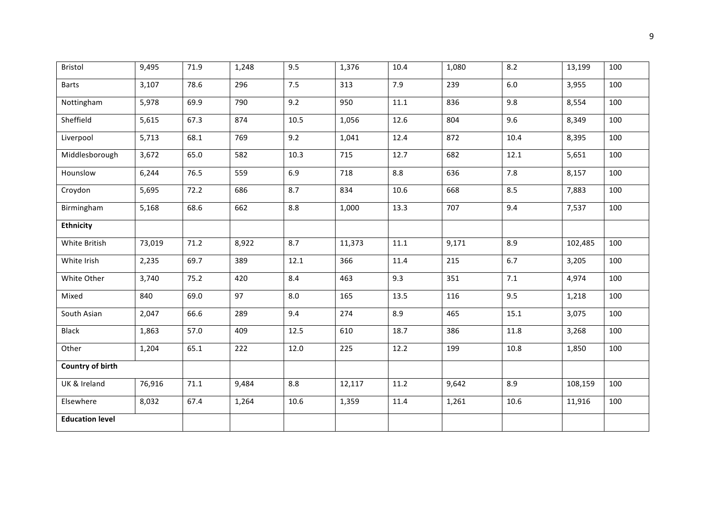| Bristol                 | 9,495  | 71.9 | 1,248 | 9.5  | 1,376  | 10.4 | 1,080 | 8.2     | 13,199  | 100 |
|-------------------------|--------|------|-------|------|--------|------|-------|---------|---------|-----|
| <b>Barts</b>            | 3,107  | 78.6 | 296   | 7.5  | 313    | 7.9  | 239   | $6.0\,$ | 3,955   | 100 |
| Nottingham              | 5,978  | 69.9 | 790   | 9.2  | 950    | 11.1 | 836   | 9.8     | 8,554   | 100 |
| Sheffield               | 5,615  | 67.3 | 874   | 10.5 | 1,056  | 12.6 | 804   | 9.6     | 8,349   | 100 |
| Liverpool               | 5,713  | 68.1 | 769   | 9.2  | 1,041  | 12.4 | 872   | 10.4    | 8,395   | 100 |
| Middlesborough          | 3,672  | 65.0 | 582   | 10.3 | 715    | 12.7 | 682   | 12.1    | 5,651   | 100 |
| Hounslow                | 6,244  | 76.5 | 559   | 6.9  | 718    | 8.8  | 636   | 7.8     | 8,157   | 100 |
| Croydon                 | 5,695  | 72.2 | 686   | 8.7  | 834    | 10.6 | 668   | 8.5     | 7,883   | 100 |
| Birmingham              | 5,168  | 68.6 | 662   | 8.8  | 1,000  | 13.3 | 707   | 9.4     | 7,537   | 100 |
| <b>Ethnicity</b>        |        |      |       |      |        |      |       |         |         |     |
| White British           | 73,019 | 71.2 | 8,922 | 8.7  | 11,373 | 11.1 | 9,171 | 8.9     | 102,485 | 100 |
| White Irish             | 2,235  | 69.7 | 389   | 12.1 | 366    | 11.4 | 215   | 6.7     | 3,205   | 100 |
| White Other             | 3,740  | 75.2 | 420   | 8.4  | 463    | 9.3  | 351   | 7.1     | 4,974   | 100 |
| Mixed                   | 840    | 69.0 | 97    | 8.0  | 165    | 13.5 | 116   | 9.5     | 1,218   | 100 |
| South Asian             | 2,047  | 66.6 | 289   | 9.4  | 274    | 8.9  | 465   | 15.1    | 3,075   | 100 |
| <b>Black</b>            | 1,863  | 57.0 | 409   | 12.5 | 610    | 18.7 | 386   | 11.8    | 3,268   | 100 |
| Other                   | 1,204  | 65.1 | 222   | 12.0 | 225    | 12.2 | 199   | 10.8    | 1,850   | 100 |
| <b>Country of birth</b> |        |      |       |      |        |      |       |         |         |     |
| UK & Ireland            | 76,916 | 71.1 | 9,484 | 8.8  | 12,117 | 11.2 | 9,642 | 8.9     | 108,159 | 100 |
| Elsewhere               | 8,032  | 67.4 | 1,264 | 10.6 | 1,359  | 11.4 | 1,261 | 10.6    | 11,916  | 100 |
| <b>Education level</b>  |        |      |       |      |        |      |       |         |         |     |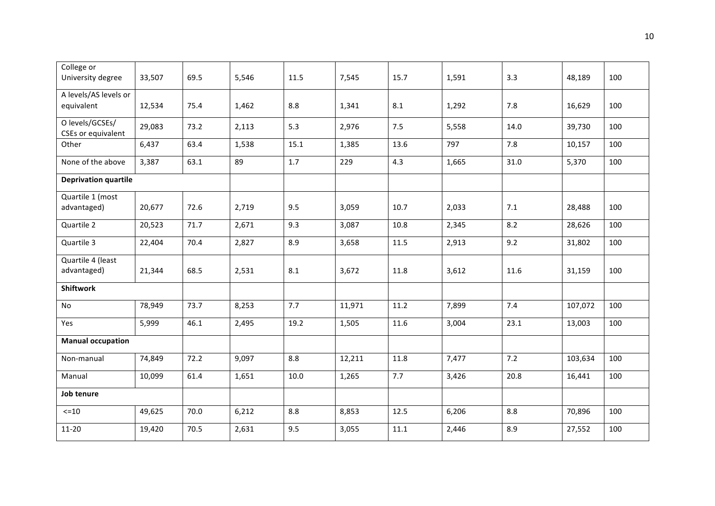| College or<br>University degree       | 33,507 | 69.5 | 5,546 | 11.5 | 7,545  | 15.7 | 1,591 | 3.3  | 48,189  | 100 |
|---------------------------------------|--------|------|-------|------|--------|------|-------|------|---------|-----|
| A levels/AS levels or<br>equivalent   | 12,534 | 75.4 | 1,462 | 8.8  | 1,341  | 8.1  | 1,292 | 7.8  | 16,629  | 100 |
| O levels/GCSEs/<br>CSEs or equivalent | 29,083 | 73.2 | 2,113 | 5.3  | 2,976  | 7.5  | 5,558 | 14.0 | 39,730  | 100 |
| Other                                 | 6,437  | 63.4 | 1,538 | 15.1 | 1,385  | 13.6 | 797   | 7.8  | 10,157  | 100 |
| None of the above                     | 3,387  | 63.1 | 89    | 1.7  | 229    | 4.3  | 1,665 | 31.0 | 5,370   | 100 |
| <b>Deprivation quartile</b>           |        |      |       |      |        |      |       |      |         |     |
| Quartile 1 (most<br>advantaged)       | 20,677 | 72.6 | 2,719 | 9.5  | 3,059  | 10.7 | 2,033 | 7.1  | 28,488  | 100 |
| Quartile 2                            | 20,523 | 71.7 | 2,671 | 9.3  | 3,087  | 10.8 | 2,345 | 8.2  | 28,626  | 100 |
| Quartile 3                            | 22,404 | 70.4 | 2,827 | 8.9  | 3,658  | 11.5 | 2,913 | 9.2  | 31,802  | 100 |
| Quartile 4 (least<br>advantaged)      | 21,344 | 68.5 | 2,531 | 8.1  | 3,672  | 11.8 | 3,612 | 11.6 | 31,159  | 100 |
| <b>Shiftwork</b>                      |        |      |       |      |        |      |       |      |         |     |
| No                                    | 78,949 | 73.7 | 8,253 | 7.7  | 11,971 | 11.2 | 7,899 | 7.4  | 107,072 | 100 |
| Yes                                   | 5,999  | 46.1 | 2,495 | 19.2 | 1,505  | 11.6 | 3,004 | 23.1 | 13,003  | 100 |
| <b>Manual occupation</b>              |        |      |       |      |        |      |       |      |         |     |
| Non-manual                            | 74,849 | 72.2 | 9,097 | 8.8  | 12,211 | 11.8 | 7,477 | 7.2  | 103,634 | 100 |
| Manual                                | 10,099 | 61.4 | 1,651 | 10.0 | 1,265  | 7.7  | 3,426 | 20.8 | 16,441  | 100 |
| Job tenure                            |        |      |       |      |        |      |       |      |         |     |
| $<=10$                                | 49,625 | 70.0 | 6,212 | 8.8  | 8,853  | 12.5 | 6,206 | 8.8  | 70,896  | 100 |
| 11-20                                 | 19,420 | 70.5 | 2,631 | 9.5  | 3,055  | 11.1 | 2,446 | 8.9  | 27,552  | 100 |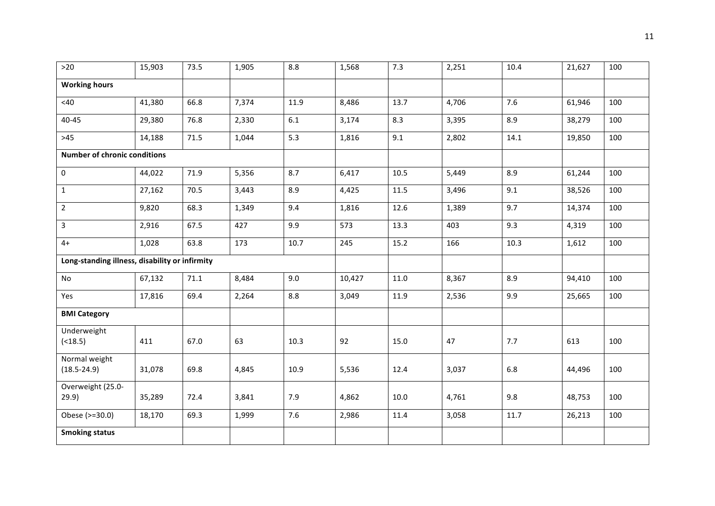| $>20$                                          | 15,903 | 73.5 | 1,905 | 8.8  | 1,568  | 7.3  | 2,251 | 10.4 | 21,627 | 100 |
|------------------------------------------------|--------|------|-------|------|--------|------|-------|------|--------|-----|
| <b>Working hours</b>                           |        |      |       |      |        |      |       |      |        |     |
| <40                                            | 41,380 | 66.8 | 7,374 | 11.9 | 8,486  | 13.7 | 4,706 | 7.6  | 61,946 | 100 |
| $40 - 45$                                      | 29,380 | 76.8 | 2,330 | 6.1  | 3,174  | 8.3  | 3,395 | 8.9  | 38,279 | 100 |
| $>45$                                          | 14,188 | 71.5 | 1,044 | 5.3  | 1,816  | 9.1  | 2,802 | 14.1 | 19,850 | 100 |
| <b>Number of chronic conditions</b>            |        |      |       |      |        |      |       |      |        |     |
| 0                                              | 44,022 | 71.9 | 5,356 | 8.7  | 6,417  | 10.5 | 5,449 | 8.9  | 61,244 | 100 |
| $\mathbf{1}$                                   | 27,162 | 70.5 | 3,443 | 8.9  | 4,425  | 11.5 | 3,496 | 9.1  | 38,526 | 100 |
| $\overline{2}$                                 | 9,820  | 68.3 | 1,349 | 9.4  | 1,816  | 12.6 | 1,389 | 9.7  | 14,374 | 100 |
| 3                                              | 2,916  | 67.5 | 427   | 9.9  | 573    | 13.3 | 403   | 9.3  | 4,319  | 100 |
| $4+$                                           | 1,028  | 63.8 | 173   | 10.7 | 245    | 15.2 | 166   | 10.3 | 1,612  | 100 |
| Long-standing illness, disability or infirmity |        |      |       |      |        |      |       |      |        |     |
| No                                             | 67,132 | 71.1 | 8,484 | 9.0  | 10,427 | 11.0 | 8,367 | 8.9  | 94,410 | 100 |
| Yes                                            | 17,816 | 69.4 | 2,264 | 8.8  | 3,049  | 11.9 | 2,536 | 9.9  | 25,665 | 100 |
| <b>BMI Category</b>                            |        |      |       |      |        |      |       |      |        |     |
| Underweight<br>( < 18.5)                       | 411    | 67.0 | 63    | 10.3 | 92     | 15.0 | 47    | 7.7  | 613    | 100 |
| Normal weight<br>$(18.5 - 24.9)$               | 31,078 | 69.8 | 4,845 | 10.9 | 5,536  | 12.4 | 3,037 | 6.8  | 44,496 | 100 |
| Overweight (25.0-<br>29.9)                     | 35,289 | 72.4 | 3,841 | 7.9  | 4,862  | 10.0 | 4,761 | 9.8  | 48,753 | 100 |
| Obese (>=30.0)                                 | 18,170 | 69.3 | 1,999 | 7.6  | 2,986  | 11.4 | 3,058 | 11.7 | 26,213 | 100 |
| <b>Smoking status</b>                          |        |      |       |      |        |      |       |      |        |     |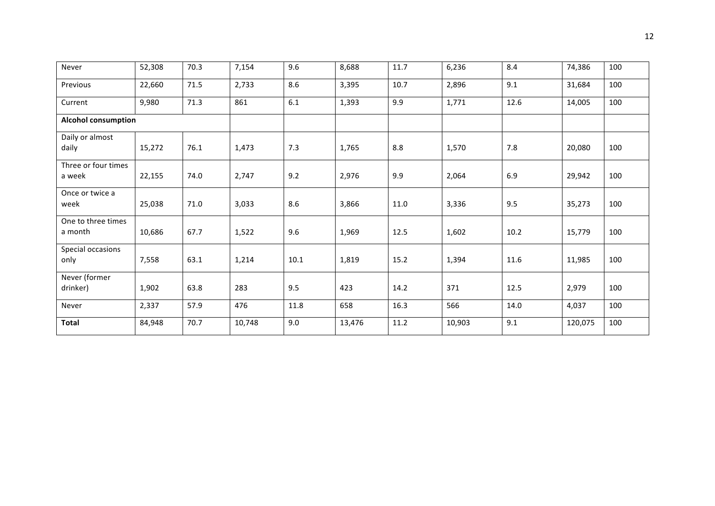| Never                         | 52,308 | 70.3 | 7,154  | 9.6  | 8,688  | 11.7 | 6,236  | 8.4  | 74,386  | 100 |
|-------------------------------|--------|------|--------|------|--------|------|--------|------|---------|-----|
| Previous                      | 22,660 | 71.5 | 2,733  | 8.6  | 3,395  | 10.7 | 2,896  | 9.1  | 31,684  | 100 |
| Current                       | 9,980  | 71.3 | 861    | 6.1  | 1,393  | 9.9  | 1,771  | 12.6 | 14,005  | 100 |
| <b>Alcohol consumption</b>    |        |      |        |      |        |      |        |      |         |     |
| Daily or almost<br>daily      | 15,272 | 76.1 | 1,473  | 7.3  | 1,765  | 8.8  | 1,570  | 7.8  | 20,080  | 100 |
| Three or four times<br>a week | 22,155 | 74.0 | 2,747  | 9.2  | 2,976  | 9.9  | 2,064  | 6.9  | 29,942  | 100 |
| Once or twice a<br>week       | 25,038 | 71.0 | 3,033  | 8.6  | 3,866  | 11.0 | 3,336  | 9.5  | 35,273  | 100 |
| One to three times<br>a month | 10,686 | 67.7 | 1,522  | 9.6  | 1,969  | 12.5 | 1,602  | 10.2 | 15,779  | 100 |
| Special occasions<br>only     | 7,558  | 63.1 | 1,214  | 10.1 | 1,819  | 15.2 | 1,394  | 11.6 | 11,985  | 100 |
| Never (former<br>drinker)     | 1,902  | 63.8 | 283    | 9.5  | 423    | 14.2 | 371    | 12.5 | 2,979   | 100 |
| Never                         | 2,337  | 57.9 | 476    | 11.8 | 658    | 16.3 | 566    | 14.0 | 4,037   | 100 |
| <b>Total</b>                  | 84,948 | 70.7 | 10,748 | 9.0  | 13,476 | 11.2 | 10,903 | 9.1  | 120,075 | 100 |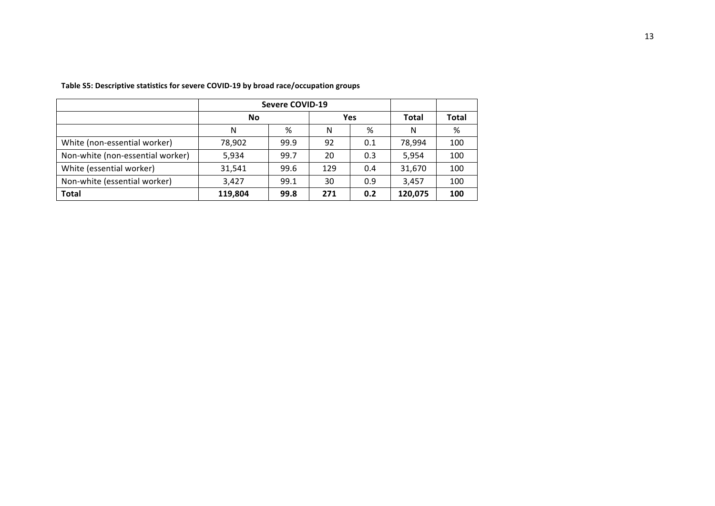|                                  |         | <b>Severe COVID-19</b> |            |       |         |     |
|----------------------------------|---------|------------------------|------------|-------|---------|-----|
|                                  | No      |                        | <b>Yes</b> | Total | Total   |     |
|                                  | Ν       | %                      | N          | %     | N       | %   |
| White (non-essential worker)     | 78,902  | 99.9                   | 92         | 0.1   | 78,994  | 100 |
| Non-white (non-essential worker) | 5,934   | 99.7                   | 20         | 0.3   | 5,954   | 100 |
| White (essential worker)         | 31,541  | 99.6                   | 129        | 0.4   | 31,670  | 100 |
| Non-white (essential worker)     | 3.427   | 99.1                   | 30         | 0.9   | 3.457   | 100 |
| <b>Total</b>                     | 119,804 | 99.8                   | 271        | 0.2   | 120,075 | 100 |

Table S5: Descriptive statistics for severe COVID-19 by broad race/occupation groups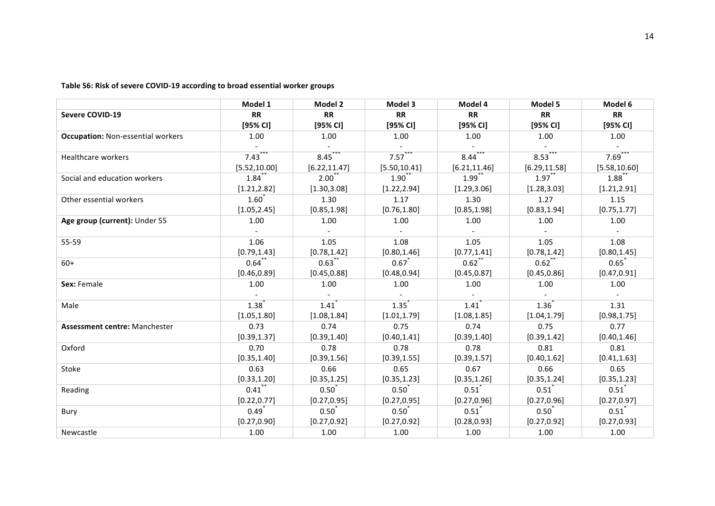Table S6: Risk of severe COVID-19 according to broad essential worker groups

|                                          | Model 1           | Model 2           | Model 3          | Model 4              | Model 5             | Model 6             |
|------------------------------------------|-------------------|-------------------|------------------|----------------------|---------------------|---------------------|
| <b>Severe COVID-19</b>                   | <b>RR</b>         | <b>RR</b>         | <b>RR</b>        | <b>RR</b>            | <b>RR</b>           | <b>RR</b>           |
|                                          | [95% CI]          | [95% <sub>C</sub> | [95% CI]         | [95% <sub>C</sub> 1] | [95% CI]            | [95% CI]            |
| <b>Occupation: Non-essential workers</b> | 1.00              | 1.00              | 1.00             | 1.00                 | 1.00                | 1.00                |
|                                          |                   |                   |                  |                      |                     |                     |
| Healthcare workers                       | 7.43              | 8.45              | 7.57             | 8.44                 | 8.53                | 7.69                |
|                                          | [5.52, 10.00]     | [6.22, 11.47]     | [5.50, 10.41]    | [6.21, 11.46]        | [6.29, 11.58]       | [5.58, 10.60]       |
| Social and education workers             | 1.84              | $2.00^{\degree}$  | $1.90^{*}$       | $1.99$ <sup>*</sup>  | $1.97$ <sup>*</sup> | 1.88                |
|                                          | [1.21, 2.82]      | [1.30, 3.08]      | [1.22, 2.94]     | [1.29, 3.06]         | [1.28, 3.03]        | [1.21, 2.91]        |
| Other essential workers                  | $1.60*$           | 1.30              | 1.17             | 1.30                 | 1.27                | 1.15                |
|                                          | [1.05, 2.45]      | [0.85, 1.98]      | [0.76, 1.80]     | [0.85, 1.98]         | [0.83, 1.94]        | [0.75, 1.77]        |
| Age group (current): Under 55            | 1.00              | 1.00              | 1.00             | 1.00                 | 1.00                | 1.00                |
|                                          |                   |                   |                  |                      |                     |                     |
| 55-59                                    | 1.06              | 1.05              | 1.08             | 1.05                 | 1.05                | 1.08                |
|                                          | [0.79, 1.43]      | [0.78, 1.42]      | [0.80, 1.46]     | [0.77, 1.41]         | [0.78, 1.42]        | [0.80, 1.45]        |
| $60+$                                    | 0.64              | 0.63              | 0.67             | $0.62^*$             | 0.62                | 0.65                |
|                                          | [0.46, 0.89]      | [0.45, 0.88]      | [0.48, 0.94]     | [0.45, 0.87]         | [0.45, 0.86]        | [0.47, 0.91]        |
| Sex: Female                              | 1.00              | 1.00              | 1.00             | 1.00                 | 1.00                | 1.00                |
|                                          |                   |                   |                  |                      |                     |                     |
| Male                                     | 1.38              | 1.41              | 1.35             | 1.41                 | 1.36                | 1.31                |
|                                          | [1.05, 1.80]      | [1.08, 1.84]      | [1.01, 1.79]     | [1.08, 1.85]         | [1.04, 1.79]        | [0.98, 1.75]        |
| <b>Assessment centre: Manchester</b>     | 0.73              | 0.74              | 0.75             | 0.74                 | 0.75                | 0.77                |
|                                          | [0.39, 1.37]      | [0.39, 1.40]      | [0.40, 1.41]     | [0.39, 1.40]         | [0.39, 1.42]        | [0.40, 1.46]        |
| Oxford                                   | 0.70              | 0.78              | 0.78             | 0.78                 | 0.81                | 0.81                |
|                                          | [0.35, 1.40]      | [0.39, 1.56]      | [0.39, 1.55]     | [0.39, 1.57]         | [0.40, 1.62]        | [0.41, 1.63]        |
| Stoke                                    | 0.63              | 0.66              | 0.65             | 0.67                 | 0.66                | 0.65                |
|                                          | [0.33, 1.20]      | [0.35, 1.25]      | [0.35, 1.23]     | [0.35, 1.26]         | [0.35, 1.24]        | [0.35, 1.23]        |
| Reading                                  | 0.41              | $0.50^{*}$        | $0.50^{\degree}$ | $0.51$ <sup>*</sup>  | 0.51                | $0.51$ <sup>*</sup> |
|                                          | [0.22, 0.77]      | [0.27, 0.95]      | [0.27, 0.95]     | [0.27, 0.96]         | [0.27, 0.96]        | [0.27, 0.97]        |
| Bury                                     | $0.49^{^{\circ}}$ | 0.50              | 0.50             | 0.51                 | $0.50^{\degree}$    | 0.51                |
|                                          | [0.27, 0.90]      | [0.27, 0.92]      | [0.27, 0.92]     | [0.28, 0.93]         | [0.27, 0.92]        | [0.27, 0.93]        |
| Newcastle                                | 1.00              | 1.00              | 1.00             | 1.00                 | 1.00                | 1.00                |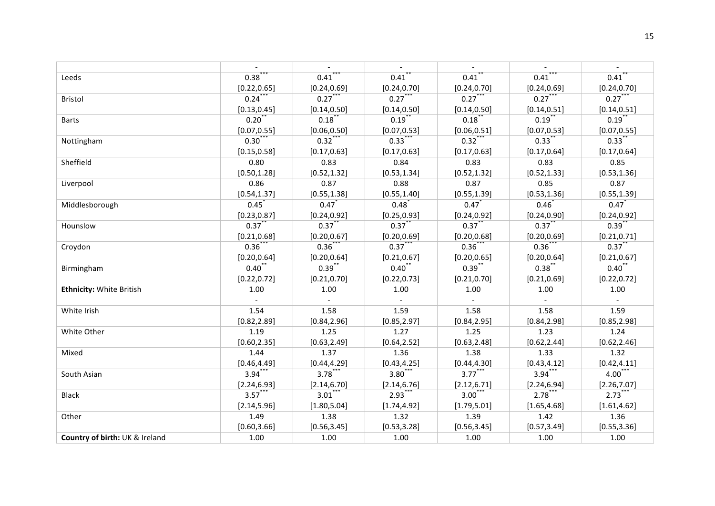|                                 | $\sim$                      |              | $\sim$       |                     | $\sim$                      | $\sim$              |
|---------------------------------|-----------------------------|--------------|--------------|---------------------|-----------------------------|---------------------|
| Leeds                           | $0.38$ ***                  | 0.41         | $0.41$ **    | $0.41$ <sup>*</sup> | $0.41$ ***                  | $0.41$ <sup>*</sup> |
|                                 | [0.22, 0.65]                | [0.24, 0.69] | [0.24, 0.70] | [0.24, 0.70]        | [0.24, 0.69]                | [0.24, 0.70]        |
| <b>Bristol</b>                  | $0.24***$                   | $0.27***$    | $0.27***$    | $0.27***$           | $0.27***$                   | $0.27$ ***          |
|                                 | [0.13, 0.45]                | [0.14, 0.50] | [0.14, 0.50] | [0.14, 0.50]        | [0.14, 0.51]                | [0.14, 0.51]        |
| <b>Barts</b>                    | $0.20***$                   | $0.18***$    | $0.19$ **    | $0.18***$           | $0.19***$                   | $0.19***$           |
|                                 | [0.07, 0.55]                | [0.06, 0.50] | [0.07, 0.53] | [0.06, 0.51]        | [0.07, 0.53]                | [0.07, 0.55]        |
| Nottingham                      | $0.30***$                   | $0.32***$    | $0.33***$    | $0.32***$           | $0.33$ **                   | $0.33***$           |
|                                 | [0.15, 0.58]                | [0.17, 0.63] | [0.17, 0.63] | [0.17, 0.63]        | [0.17, 0.64]                | [0.17, 0.64]        |
| Sheffield                       | 0.80                        | 0.83         | 0.84         | 0.83                | 0.83                        | 0.85                |
|                                 | [0.50, 1.28]                | [0.52, 1.32] | [0.53, 1.34] | [0.52, 1.32]        | [0.52, 1.33]                | [0.53, 1.36]        |
| Liverpool                       | 0.86                        | 0.87         | 0.88         | 0.87                | 0.85                        | 0.87                |
|                                 | [0.54, 1.37]                | [0.55, 1.38] | [0.55, 1.40] | [0.55, 1.39]        | [0.53, 1.36]                | [0.55, 1.39]        |
| Middlesborough                  | $0.45$ <sup>*</sup>         | 0.47         | $0.48^{*}$   | $0.47$ <sup>*</sup> | $0.46^{*}$                  | $0.47$ <sup>*</sup> |
|                                 | [0.23, 0.87]                | [0.24, 0.92] | [0.25, 0.93] | [0.24, 0.92]        | [0.24, 0.90]                | [0.24, 0.92]        |
| Hounslow                        | $0.37$ **                   | $0.37$ **    | $0.37$ **    | $0.37$ **           | $0.37$ **                   | $0.39$ **           |
|                                 | [0.21, 0.68]                | [0.20, 0.67] | [0.20, 0.69] | [0.20, 0.68]        | [0.20, 0.69]                | [0.21, 0.71]        |
| Croydon                         | $0.36$ **                   | $0.36$ ***   | $0.37***$    | $0.36$ ***          | $0.36$ **                   | $0.37***$           |
|                                 | [0.20, 0.64]                | [0.20, 0.64] | [0.21, 0.67] | [0.20, 0.65]        | [0.20, 0.64]                | [0.21, 0.67]        |
| Birmingham                      | $0.40^{**}$                 | $0.39$ **    | $0.40$ **    | $0.39$ **           | $0.38$ **                   | 0.40                |
|                                 | [0.22, 0.72]                | [0.21, 0.70] | [0.22, 0.73] | [0.21, 0.70]        | [0.21, 0.69]                | [0.22, 0.72]        |
| <b>Ethnicity: White British</b> | 1.00                        | 1.00         | 1.00         | 1.00                | 1.00                        | 1.00                |
|                                 | $\mathcal{L}^{\mathcal{A}}$ | $\sim$       | $\sim$       | $\sim$              | $\mathcal{L}^{\mathcal{A}}$ | $\sim$              |
| White Irish                     | 1.54                        | 1.58         | 1.59         | 1.58                | 1.58                        | 1.59                |
|                                 | [0.82, 2.89]                | [0.84, 2.96] | [0.85, 2.97] | [0.84, 2.95]        | [0.84, 2.98]                | [0.85, 2.98]        |
| White Other                     | 1.19                        | 1.25         | 1.27         | 1.25                | 1.23                        | 1.24                |
|                                 | [0.60, 2.35]                | [0.63, 2.49] | [0.64, 2.52] | [0.63, 2.48]        | [0.62, 2.44]                | [0.62, 2.46]        |
| Mixed                           | 1.44                        | 1.37         | 1.36         | 1.38                | 1.33                        | 1.32                |
|                                 | [0.46, 4.49]                | [0.44, 4.29] | [0.43, 4.25] | [0.44, 4.30]        | [0.43, 4.12]                | [0.42, 4.11]        |
| South Asian                     | $3.94***$                   | $3.78***$    | $3.80***$    | $3.77***$           | $3.94***$                   | $4.00***$           |
|                                 | [2.24, 6.93]                | [2.14, 6.70] | [2.14, 6.76] | [2.12, 6.71]        | [2.24, 6.94]                | [2.26, 7.07]        |
| <b>Black</b>                    | $3.57$ ***                  | $3.01***$    | $2.93$ ***   | $3.00***$           | $2.78$ ***                  | $2.73$ ***          |
|                                 | [2.14, 5.96]                | [1.80, 5.04] | [1.74, 4.92] | [1.79, 5.01]        | [1.65, 4.68]                | [1.61, 4.62]        |
| Other                           | 1.49                        | 1.38         | 1.32         | 1.39                | 1.42                        | 1.36                |
|                                 | [0.60, 3.66]                | [0.56, 3.45] | [0.53, 3.28] | [0.56, 3.45]        | [0.57, 3.49]                | [0.55, 3.36]        |
| Country of birth: UK & Ireland  | 1.00                        | 1.00         | 1.00         | 1.00                | 1.00                        | 1.00                |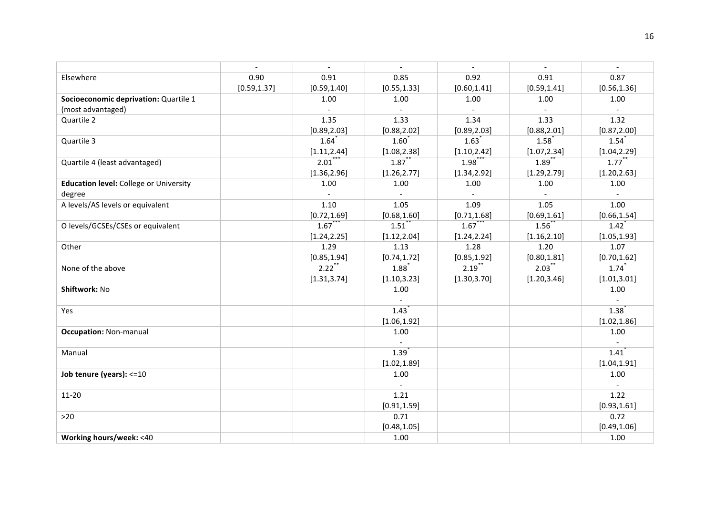|                                               | $\overline{\phantom{a}}$ | $\overline{a}$      | $\mathbf{r}$        | $\overline{a}$      | $\mathbf{r}$        | $\sim$              |
|-----------------------------------------------|--------------------------|---------------------|---------------------|---------------------|---------------------|---------------------|
| Elsewhere                                     | 0.90                     | 0.91                | 0.85                | 0.92                | 0.91                | 0.87                |
|                                               | [0.59, 1.37]             | [0.59, 1.40]        | [0.55, 1.33]        | [0.60, 1.41]        | [0.59, 1.41]        | [0.56, 1.36]        |
| Socioeconomic deprivation: Quartile 1         |                          | 1.00                | 1.00                | 1.00                | 1.00                | 1.00                |
| (most advantaged)                             |                          | $\sim$              | $\sim$              | $\sim$              | $\sim$              | $\sim$              |
| Quartile 2                                    |                          | 1.35                | 1.33                | 1.34                | 1.33                | 1.32                |
|                                               |                          | [0.89, 2.03]        | [0.88, 2.02]        | [0.89, 2.03]        | [0.88, 2.01]        | [0.87, 2.00]        |
| Quartile 3                                    |                          | $1.64$ <sup>*</sup> | $1.60^{*}$          | $1.63$ <sup>*</sup> | 1.58                | $1.54$ <sup>*</sup> |
|                                               |                          | [1.11, 2.44]        | [1.08, 2.38]        | [1.10, 2.42]        | [1.07, 2.34]        | [1.04, 2.29]        |
| Quartile 4 (least advantaged)                 |                          | 2.01                | $1.87$ **           | $1.98$ **           | $1.89$ <sup>*</sup> | $1.77$ <sup>*</sup> |
|                                               |                          | [1.36, 2.96]        | [1.26, 2.77]        | [1.34, 2.92]        | [1.29, 2.79]        | [1.20, 2.63]        |
| <b>Education level:</b> College or University |                          | 1.00                | 1.00                | 1.00                | 1.00                | 1.00                |
| degree                                        |                          |                     | $\sim$              |                     | $\sim$              |                     |
| A levels/AS levels or equivalent              |                          | 1.10                | 1.05                | 1.09                | 1.05                | 1.00                |
|                                               |                          | [0.72, 1.69]        | [0.68, 1.60]        | [0.71, 1.68]        | [0.69, 1.61]        | [0.66, 1.54]        |
| O levels/GCSEs/CSEs or equivalent             |                          | $1.67$ **           | $1.51$ <sup>*</sup> | 1.67                | 1.56                | $1.42$ <sup>*</sup> |
|                                               |                          | [1.24, 2.25]        | [1.12, 2.04]        | [1.24, 2.24]        | [1.16, 2.10]        | [1.05, 1.93]        |
| Other                                         |                          | 1.29                | 1.13                | 1.28                | 1.20                | 1.07                |
|                                               |                          | [0.85, 1.94]        | [0.74, 1.72]        | [0.85, 1.92]        | [0.80, 1.81]        | [0.70, 1.62]        |
| None of the above                             |                          | $2.22$ <sup>*</sup> | 1.88                | $2.19$ <sup>*</sup> | $2.03$ <sup>*</sup> | $1.74$ <sup>*</sup> |
|                                               |                          | [1.31, 3.74]        | [1.10, 3.23]        | [1.30, 3.70]        | [1.20, 3.46]        | [1.01, 3.01]        |
| Shiftwork: No                                 |                          |                     | 1.00                |                     |                     | 1.00                |
|                                               |                          |                     |                     |                     |                     |                     |
| Yes                                           |                          |                     | $1.43$ <sup>*</sup> |                     |                     | $1.38^{*}$          |
|                                               |                          |                     | [1.06, 1.92]        |                     |                     | [1.02, 1.86]        |
| <b>Occupation: Non-manual</b>                 |                          |                     | 1.00                |                     |                     | 1.00                |
|                                               |                          |                     |                     |                     |                     |                     |
| Manual                                        |                          |                     | 1.39                |                     |                     | 1.41                |
|                                               |                          |                     | [1.02, 1.89]        |                     |                     | [1.04, 1.91]        |
| Job tenure (years): $\leq 10$                 |                          |                     | 1.00                |                     |                     | 1.00                |
|                                               |                          |                     | $\sim$              |                     |                     | $\blacksquare$      |
| $11 - 20$                                     |                          |                     | 1.21                |                     |                     | 1.22                |
|                                               |                          |                     | [0.91, 1.59]        |                     |                     | [0.93, 1.61]        |
| $>20$                                         |                          |                     | 0.71                |                     |                     | 0.72                |
|                                               |                          |                     | [0.48, 1.05]        |                     |                     | [0.49, 1.06]        |
| Working hours/week: <40                       |                          |                     | 1.00                |                     |                     | 1.00                |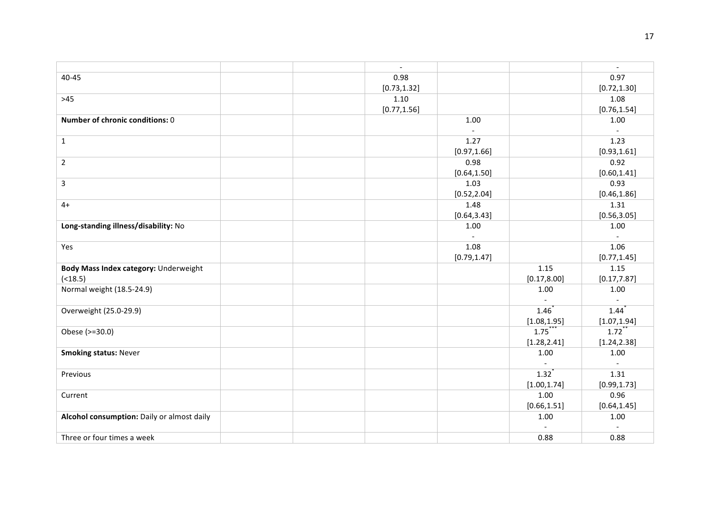|                                            | $\overline{\phantom{a}}$ |                          |                          | $\overline{\phantom{a}}$  |
|--------------------------------------------|--------------------------|--------------------------|--------------------------|---------------------------|
| 40-45                                      | 0.98                     |                          |                          | 0.97                      |
|                                            | [0.73, 1.32]             |                          |                          | [0.72, 1.30]              |
| $>45$                                      | 1.10                     |                          |                          | 1.08                      |
|                                            | [0.77, 1.56]             |                          |                          | [0.76, 1.54]              |
| Number of chronic conditions: 0            |                          | 1.00                     |                          | 1.00                      |
|                                            |                          | $\overline{\phantom{a}}$ |                          | $\mathbb{L}^{\mathbb{N}}$ |
| $\mathbf{1}$                               |                          | 1.27                     |                          | 1.23                      |
|                                            |                          | [0.97, 1.66]             |                          | [0.93, 1.61]              |
| $\overline{2}$                             |                          | 0.98                     |                          | 0.92                      |
|                                            |                          | [0.64, 1.50]             |                          | [0.60, 1.41]              |
| 3                                          |                          | 1.03                     |                          | 0.93                      |
|                                            |                          | [0.52, 2.04]             |                          | [0.46, 1.86]              |
| $4+$                                       |                          | 1.48                     |                          | 1.31                      |
|                                            |                          | [0.64, 3.43]             |                          | [0.56, 3.05]              |
| Long-standing illness/disability: No       |                          | 1.00                     |                          | 1.00                      |
|                                            |                          |                          |                          |                           |
| Yes                                        |                          | 1.08                     |                          | 1.06                      |
|                                            |                          | [0.79, 1.47]             |                          | [0.77, 1.45]              |
| Body Mass Index category: Underweight      |                          |                          | 1.15                     | 1.15                      |
| ( < 18.5)                                  |                          |                          | [0.17, 8.00]             | [0.17, 7.87]              |
| Normal weight (18.5-24.9)                  |                          |                          | 1.00                     | 1.00                      |
|                                            |                          |                          | $\overline{\phantom{a}}$ | $\overline{a}$            |
| Overweight (25.0-29.9)                     |                          |                          | $1.46^{*}$               | $1.44$ <sup>*</sup>       |
|                                            |                          |                          | [1.08, 1.95]             | [1.07, 1.94]              |
| Obese (>=30.0)                             |                          |                          | $1.75***$                | $1.72$ <sup>*</sup>       |
|                                            |                          |                          | [1.28, 2.41]             | [1.24, 2.38]              |
| <b>Smoking status: Never</b>               |                          |                          | $1.00\,$                 | 1.00                      |
|                                            |                          |                          | $\sim$                   | $\overline{a}$            |
| Previous                                   |                          |                          | $1.32^{*}$               | 1.31                      |
|                                            |                          |                          | [1.00, 1.74]             | [0.99, 1.73]              |
| Current                                    |                          |                          | 1.00                     | 0.96                      |
|                                            |                          |                          | [0.66, 1.51]             | [0.64, 1.45]              |
| Alcohol consumption: Daily or almost daily |                          |                          | 1.00                     | 1.00                      |
|                                            |                          |                          | $\overline{a}$           | $\overline{a}$            |
| Three or four times a week                 |                          |                          | 0.88                     | 0.88                      |
|                                            |                          |                          |                          |                           |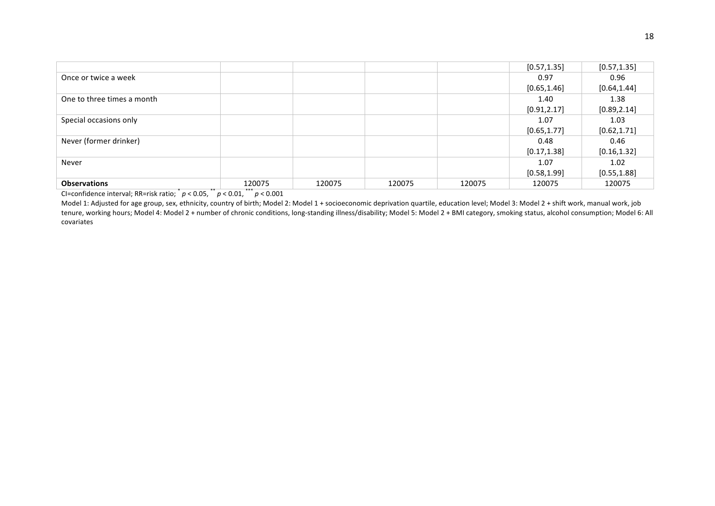|                            |        |        |        |        | [0.57, 1.35] | [0.57, 1.35] |
|----------------------------|--------|--------|--------|--------|--------------|--------------|
| Once or twice a week       |        |        |        |        | 0.97         | 0.96         |
|                            |        |        |        |        | [0.65, 1.46] | [0.64, 1.44] |
| One to three times a month |        |        |        |        | 1.40         | 1.38         |
|                            |        |        |        |        | [0.91, 2.17] | [0.89, 2.14] |
| Special occasions only     |        |        |        |        | 1.07         | 1.03         |
|                            |        |        |        |        | [0.65, 1.77] | [0.62, 1.71] |
| Never (former drinker)     |        |        |        |        | 0.48         | 0.46         |
|                            |        |        |        |        | [0.17, 1.38] | [0.16, 1.32] |
| Never                      |        |        |        |        | 1.07         | 1.02         |
|                            |        |        |        |        | [0.58, 1.99] | [0.55, 1.88] |
| <b>Observations</b>        | 120075 | 120075 | 120075 | 120075 | 120075       | 120075       |

Model 1: Adjusted for age group, sex, ethnicity, country of birth; Model 2: Model 1 + socioeconomic deprivation quartile, education level; Model 3: Model 2 + shift work, manual work, job tenure, working hours; Model 4: Model 2 + number of chronic conditions, long-standing illness/disability; Model 5: Model 2 + BMI category, smoking status, alcohol consumption; Model 6: All covariates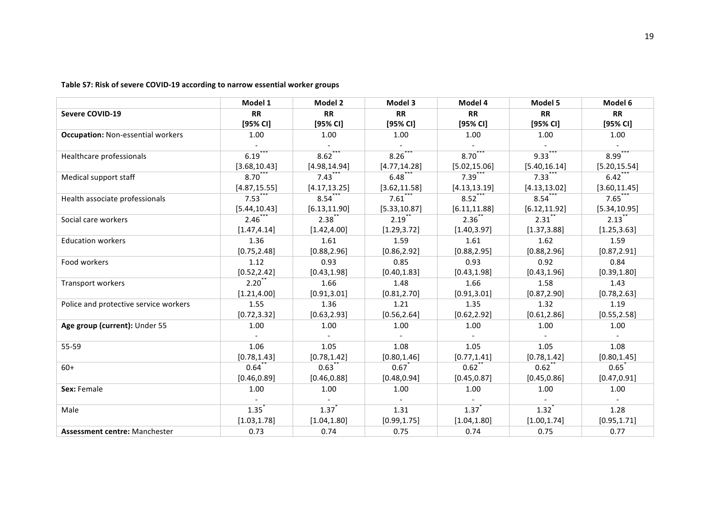Table S7: Risk of severe COVID-19 according to narrow essential worker groups

|                                          | Model 1             | Model 2             | Model 3       | Model 4       | Model 5       | Model 6             |
|------------------------------------------|---------------------|---------------------|---------------|---------------|---------------|---------------------|
| <b>Severe COVID-19</b>                   | <b>RR</b>           | <b>RR</b>           | <b>RR</b>     | <b>RR</b>     | <b>RR</b>     | <b>RR</b>           |
|                                          | [95% CI]            | $[95%$ CI]          | [95% CI]      | [95% CI]      | $[95%$ CI]    | [95% CI]            |
| <b>Occupation: Non-essential workers</b> | 1.00                | 1.00                | 1.00          | 1.00          | 1.00          | 1.00                |
|                                          |                     |                     |               |               |               |                     |
| Healthcare professionals                 | 6.19                | 8.62                | 8.26          | 8.70          | 9.33          | 8.99                |
|                                          | [3.68, 10.43]       | [4.98, 14.94]       | [4.77, 14.28] | [5.02, 15.06] | [5.40, 16.14] | [5.20, 15.54]       |
| Medical support staff                    | 8.70                | $7.43$ **           | $6.48$ **     | $7.39$ **     | $7.33$ **     | $6.42$ <sup>*</sup> |
|                                          | [4.87, 15.55]       | [4.17, 13.25]       | [3.62, 11.58] | [4.13, 13.19] | [4.13, 13.02] | [3.60, 11.45]       |
| Health associate professionals           | 7.53                | 8.54                | 7.61          | 8.52          | 8.54          | 7.65                |
|                                          | [5.44, 10.43]       | [6.13, 11.90]       | [5.33, 10.87] | [6.11, 11.88] | [6.12, 11.92] | [5.34, 10.95]       |
| Social care workers                      | $2.46$ <sup>*</sup> | $2.38^{*}$          | 2.19          | $2.36^{*}$    | 2.31          | 2.13                |
|                                          | [1.47, 4.14]        | [1.42, 4.00]        | [1.29, 3.72]  | [1.40, 3.97]  | [1.37, 3.88]  | [1.25, 3.63]        |
| <b>Education workers</b>                 | 1.36                | 1.61                | 1.59          | 1.61          | 1.62          | 1.59                |
|                                          | [0.75, 2.48]        | [0.88, 2.96]        | [0.86, 2.92]  | [0.88, 2.95]  | [0.88, 2.96]  | [0.87, 2.91]        |
| Food workers                             | 1.12                | 0.93                | 0.85          | 0.93          | 0.92          | 0.84                |
|                                          | [0.52, 2.42]        | [0.43, 1.98]        | [0.40, 1.83]  | [0.43, 1.98]  | [0.43, 1.96]  | [0.39, 1.80]        |
| Transport workers                        | 2.20                | 1.66                | 1.48          | 1.66          | 1.58          | 1.43                |
|                                          | [1.21, 4.00]        | [0.91, 3.01]        | [0.81, 2.70]  | [0.91, 3.01]  | [0.87, 2.90]  | [0.78, 2.63]        |
| Police and protective service workers    | 1.55                | 1.36                | 1.21          | 1.35          | 1.32          | 1.19                |
|                                          | [0.72, 3.32]        | [0.63, 2.93]        | [0.56, 2.64]  | [0.62, 2.92]  | [0.61, 2.86]  | [0.55, 2.58]        |
| Age group (current): Under 55            | 1.00                | 1.00                | 1.00          | 1.00          | 1.00          | 1.00                |
|                                          |                     |                     |               |               |               |                     |
| 55-59                                    | 1.06                | 1.05                | 1.08          | 1.05          | 1.05          | 1.08                |
|                                          | [0.78, 1.43]        | [0.78, 1.42]        | [0.80, 1.46]  | [0.77, 1.41]  | [0.78, 1.42]  | [0.80, 1.45]        |
| $60+$                                    | 0.64                | $0.63$ <sup>*</sup> | 0.67          | 0.62          | 0.62          | 0.65                |
|                                          | [0.46, 0.89]        | [0.46, 0.88]        | [0.48, 0.94]  | [0.45, 0.87]  | [0.45, 0.86]  | [0.47, 0.91]        |
| Sex: Female                              | 1.00                | 1.00                | 1.00          | 1.00          | 1.00          | 1.00                |
|                                          |                     |                     |               |               |               |                     |
| Male                                     | 1.35                | $1.37$ <sup>*</sup> | 1.31          | 1.37          | 1.32          | 1.28                |
|                                          | [1.03, 1.78]        | [1.04, 1.80]        | [0.99, 1.75]  | [1.04, 1.80]  | [1.00, 1.74]  | [0.95, 1.71]        |
| Assessment centre: Manchester            | 0.73                | 0.74                | 0.75          | 0.74          | 0.75          | 0.77                |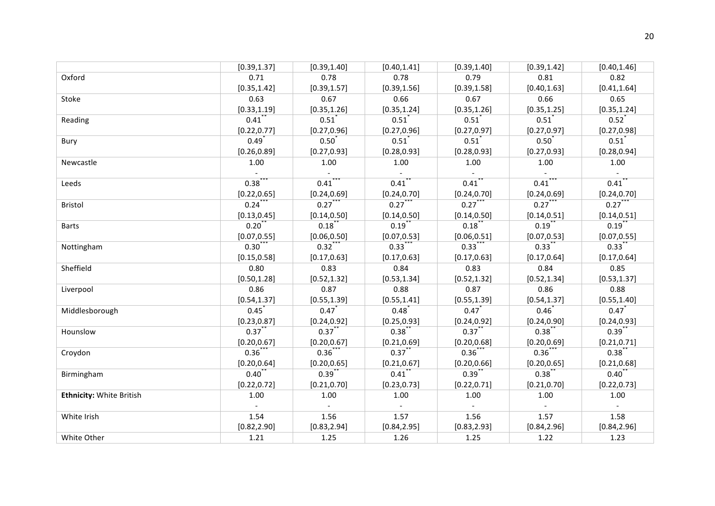|                                 | [0.39, 1.37] | [0.39, 1.40]        | [0.40, 1.41]                | [0.39, 1.40]        | [0.39, 1.42]                | [0.40, 1.46] |
|---------------------------------|--------------|---------------------|-----------------------------|---------------------|-----------------------------|--------------|
| Oxford                          | 0.71         | 0.78                | 0.78                        | 0.79                | 0.81                        | 0.82         |
|                                 | [0.35, 1.42] | [0.39, 1.57]        | [0.39, 1.56]                | [0.39, 1.58]        | [0.40, 1.63]                | [0.41, 1.64] |
| Stoke                           | 0.63         | 0.67                | 0.66                        | 0.67                | 0.66                        | 0.65         |
|                                 | [0.33, 1.19] | [0.35, 1.26]        | [0.35, 1.24]                | [0.35, 1.26]        | [0.35, 1.25]                | [0.35, 1.24] |
| Reading                         | $0.41$ **    | $0.51$ <sup>*</sup> | 0.51                        | 0.51                | $0.51$ <sup>*</sup>         | 0.52         |
|                                 | [0.22, 0.77] | [0.27, 0.96]        | [0.27, 0.96]                | [0.27, 0.97]        | [0.27, 0.97]                | [0.27, 0.98] |
| Bury                            | $0.49^{*}$   | $0.50^{*}$          | 0.51                        | 0.51                | $0.50^{*}$                  | 0.51         |
|                                 | [0.26, 0.89] | [0.27, 0.93]        | [0.28, 0.93]                | [0.28, 0.93]        | [0.27, 0.93]                | [0.28, 0.94] |
| Newcastle                       | 1.00         | 1.00                | 1.00                        | 1.00                | 1.00                        | 1.00         |
|                                 |              |                     | $\sim$                      |                     |                             |              |
| Leeds                           | $0.38$ ***   | $0.41***$           | $0.41$ **                   | $0.41$ **           | $0.41***$                   | 0.41         |
|                                 | [0.22, 0.65] | [0.24, 0.69]        | [0.24, 0.70]                | [0.24, 0.70]        | [0.24, 0.69]                | [0.24, 0.70] |
| Bristol                         | 0.24         | $0.27$ ***          | $0.27$ ***                  | $0.27$ ***          | $0.27***$                   | $0.27$ ***   |
|                                 | [0.13, 0.45] | [0.14, 0.50]        | [0.14, 0.50]                | [0.14, 0.50]        | [0.14, 0.51]                | [0.14, 0.51] |
| <b>Barts</b>                    | $0.20$ **    | 0.18                | $0.19$ **                   | $0.18$ **           | $0.19$ **                   | $0.19$ **    |
|                                 | [0.07, 0.55] | [0.06, 0.50]        | [0.07, 0.53]                | [0.06, 0.51]        | [0.07, 0.53]                | [0.07, 0.55] |
| Nottingham                      | $0.30^{*}$   | $0.32$ **           | $0.33$ ***                  | $0.33$ **           | $0.33$ **                   | $0.33$ **    |
|                                 | [0.15, 0.58] | [0.17, 0.63]        | [0.17, 0.63]                | [0.17, 0.63]        | [0.17, 0.64]                | [0.17, 0.64] |
| Sheffield                       | 0.80         | 0.83                | 0.84                        | 0.83                | 0.84                        | 0.85         |
|                                 | [0.50, 1.28] | [0.52, 1.32]        | [0.53, 1.34]                | [0.52, 1.32]        | [0.52, 1.34]                | [0.53, 1.37] |
| Liverpool                       | 0.86         | 0.87                | 0.88                        | 0.87                | 0.86                        | 0.88         |
|                                 | [0.54, 1.37] | [0.55, 1.39]        | [0.55, 1.41]                | [0.55, 1.39]        | [0.54, 1.37]                | [0.55, 1.40] |
| Middlesborough                  | 0.45         | $0.47$ <sup>*</sup> | $0.48^{*}$                  | $0.47$ <sup>*</sup> | $0.46^{*}$                  | 0.47         |
|                                 | [0.23, 0.87] | [0.24, 0.92]        | [0.25, 0.93]                | [0.24, 0.92]        | [0.24, 0.90]                | [0.24, 0.93] |
| Hounslow                        | $0.37$ **    | $0.37$ **           | $0.38$ **                   | $0.37$ **           | $0.38$ **                   | $0.39$ **    |
|                                 | [0.20, 0.67] | [0.20, 0.67]        | [0.21, 0.69]                | [0.20, 0.68]        | [0.20, 0.69]                | [0.21, 0.71] |
| Croydon                         | $0.36$ ***   | $0.36***$           | $0.37$ **                   | $0.36***$           | $0.36***$                   | $0.38$ **    |
|                                 | [0.20, 0.64] | [0.20, 0.65]        | [0.21, 0.67]                | [0.20, 0.66]        | [0.20, 0.65]                | [0.21, 0.68] |
| Birmingham                      | $0.40$ **    | $0.39$ **           | $0.41$ **                   | $0.39***$           | 0.38                        | $0.40$ **    |
|                                 | [0.22, 0.72] | [0.21, 0.70]        | [0.23, 0.73]                | [0.22, 0.71]        | [0.21, 0.70]                | [0.22, 0.73] |
| <b>Ethnicity: White British</b> | 1.00         | 1.00                | 1.00                        | 1.00                | 1.00                        | 1.00         |
|                                 | $\mathbf{r}$ | $\mathbf{r}$        | $\mathcal{L}^{\mathcal{A}}$ | $\mathbf{r}$        | $\mathcal{L}^{\mathcal{A}}$ | in 1999.     |
| White Irish                     | 1.54         | 1.56                | 1.57                        | 1.56                | 1.57                        | 1.58         |
|                                 | [0.82, 2.90] | [0.83, 2.94]        | [0.84, 2.95]                | [0.83, 2.93]        | [0.84, 2.96]                | [0.84, 2.96] |
| White Other                     | 1.21         | 1.25                | 1.26                        | 1.25                | 1.22                        | 1.23         |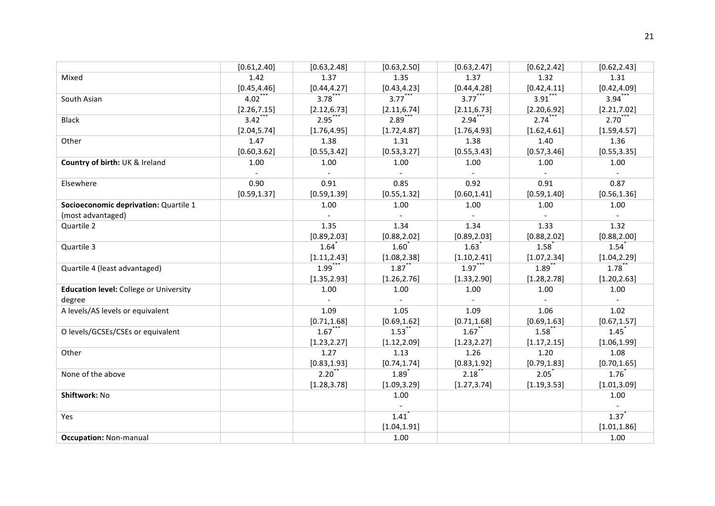|                                               | [0.61, 2.40] | [0.63, 2.48]        | [0.63, 2.50]             | [0.63, 2.47]        | [0.62, 2.42]        | [0.62, 2.43]        |
|-----------------------------------------------|--------------|---------------------|--------------------------|---------------------|---------------------|---------------------|
| Mixed                                         | 1.42         | 1.37                | 1.35                     | 1.37                | 1.32                | 1.31                |
|                                               | [0.45, 4.46] | [0.44, 4.27]        | [0.43, 4.23]             | [0.44, 4.28]        | [0.42, 4.11]        | [0.42, 4.09]        |
| South Asian                                   | $4.02$ **    | 3.78                | $3.77***$                | $3.77***$           | $3.91$ <sup>*</sup> | $3.94$ <sup>*</sup> |
|                                               | [2.26, 7.15] | [2.12, 6.73]        | [2.11, 6.74]             | [2.11, 6.73]        | [2.20, 6.92]        | [2.21, 7.02]        |
| <b>Black</b>                                  | $3.42***$    | $2.95***$           | $2.89***$                | $2.94***$           | 2.74                | $2.70^{**}$         |
|                                               | [2.04, 5.74] | [1.76, 4.95]        | [1.72, 4.87]             | [1.76, 4.93]        | [1.62, 4.61]        | [1.59, 4.57]        |
| Other                                         | 1.47         | 1.38                | 1.31                     | 1.38                | 1.40                | 1.36                |
|                                               | [0.60, 3.62] | [0.55, 3.42]        | [0.53, 3.27]             | [0.55, 3.43]        | [0.57, 3.46]        | [0.55, 3.35]        |
| Country of birth: UK & Ireland                | 1.00         | 1.00                | 1.00                     | 1.00                | 1.00                | 1.00                |
|                                               |              |                     | $\sim$                   |                     |                     |                     |
| Elsewhere                                     | 0.90         | 0.91                | 0.85                     | 0.92                | 0.91                | 0.87                |
|                                               | [0.59, 1.37] | [0.59, 1.39]        | [0.55, 1.32]             | [0.60, 1.41]        | [0.59, 1.40]        | [0.56, 1.36]        |
| Socioeconomic deprivation: Quartile 1         |              | 1.00                | 1.00                     | 1.00                | 1.00                | 1.00                |
| (most advantaged)                             |              |                     | $\overline{\phantom{a}}$ |                     |                     |                     |
| Quartile 2                                    |              | 1.35                | 1.34                     | 1.34                | 1.33                | 1.32                |
|                                               |              | [0.89, 2.03]        | [0.88, 2.02]             | [0.89, 2.03]        | [0.88, 2.02]        | [0.88, 2.00]        |
| Quartile 3                                    |              | $1.64$ <sup>*</sup> | $1.60^*$                 | $1.63$ <sup>*</sup> | 1.58                | $1.54$ <sup>*</sup> |
|                                               |              | [1.11, 2.43]        | [1.08, 2.38]             | [1.10, 2.41]        | [1.07, 2.34]        | [1.04, 2.29]        |
| Quartile 4 (least advantaged)                 |              | $1.99$ <sup>*</sup> | 1.87                     | $1.97***$           | 1.89                | 1.78                |
|                                               |              | [1.35, 2.93]        | [1.26, 2.76]             | [1.33, 2.90]        | [1.28, 2.78]        | [1.20, 2.63]        |
| <b>Education level:</b> College or University |              | 1.00                | 1.00                     | 1.00                | 1.00                | 1.00                |
| degree                                        |              |                     | $\mathcal{L}^{\pm}$      | $\mathcal{L}^{\pm}$ | $\sim$              |                     |
| A levels/AS levels or equivalent              |              | 1.09                | 1.05                     | 1.09                | 1.06                | 1.02                |
|                                               |              | [0.71, 1.68]        | [0.69, 1.62]             | [0.71, 1.68]        | [0.69, 1.63]        | [0.67, 1.57]        |
| O levels/GCSEs/CSEs or equivalent             |              | $1.67***$           | $1.53$ <sup>*</sup>      | $1.67$ **           | 1.58                | $1.45$ <sup>*</sup> |
|                                               |              | [1.23, 2.27]        | [1.12, 2.09]             | [1.23, 2.27]        | [1.17, 2.15]        | [1.06, 1.99]        |
| Other                                         |              | 1.27                | 1.13                     | 1.26                | 1.20                | 1.08                |
|                                               |              | [0.83, 1.93]        | [0.74, 1.74]             | [0.83, 1.92]        | [0.79, 1.83]        | [0.70, 1.65]        |
| None of the above                             |              | $2.20^{*}$          | $1.89$ <sup>*</sup>      | 2.18                | 2.05                | 1.76                |
|                                               |              | [1.28, 3.78]        | [1.09, 3.29]             | [1.27, 3.74]        | [1.19, 3.53]        | [1.01, 3.09]        |
| Shiftwork: No                                 |              |                     | 1.00                     |                     |                     | 1.00                |
|                                               |              |                     | $\overline{\phantom{a}}$ |                     |                     | $\sim$              |
| Yes                                           |              |                     | 1.41                     |                     |                     | $1.37$ <sup>*</sup> |
|                                               |              |                     | [1.04, 1.91]             |                     |                     | [1.01, 1.86]        |
| <b>Occupation: Non-manual</b>                 |              |                     | 1.00                     |                     |                     | 1.00                |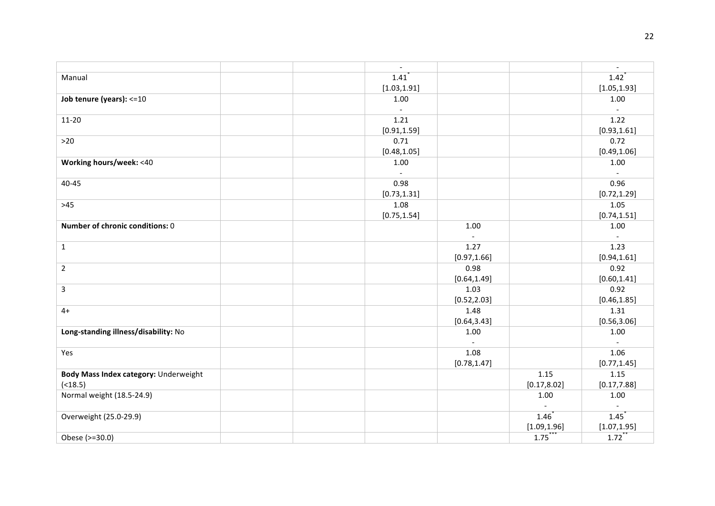|                                       | $\overline{\phantom{a}}$         |                          |                | $\overline{\phantom{a}}$ |
|---------------------------------------|----------------------------------|--------------------------|----------------|--------------------------|
| Manual                                | $1.41$ <sup><math>'</math></sup> |                          |                | $1.42$ <sup>*</sup>      |
|                                       | [1.03, 1.91]                     |                          |                | [1.05, 1.93]             |
| Job tenure (years): <= 10             | 1.00                             |                          |                | 1.00                     |
|                                       | $\sim$                           |                          |                | $\mathcal{L}$            |
| $11 - 20$                             | 1.21                             |                          |                | 1.22                     |
|                                       | [0.91, 1.59]                     |                          |                | [0.93, 1.61]             |
| $>20$                                 | 0.71                             |                          |                | 0.72                     |
|                                       | [0.48, 1.05]                     |                          |                | [0.49, 1.06]             |
| Working hours/week: <40               | 1.00                             |                          |                | 1.00                     |
|                                       | $\sim$                           |                          |                |                          |
| 40-45                                 | 0.98                             |                          |                | 0.96                     |
|                                       | [0.73, 1.31]                     |                          |                | [0.72, 1.29]             |
| $>45$                                 | 1.08                             |                          |                | 1.05                     |
|                                       | [0.75, 1.54]                     |                          |                | [0.74, 1.51]             |
| Number of chronic conditions: 0       |                                  | 1.00                     |                | 1.00                     |
|                                       |                                  | $\overline{\phantom{a}}$ |                |                          |
| $\mathbf{1}$                          |                                  | 1.27                     |                | 1.23                     |
|                                       |                                  | [0.97, 1.66]             |                | [0.94, 1.61]             |
| $\overline{2}$                        |                                  | 0.98                     |                | 0.92                     |
|                                       |                                  | [0.64, 1.49]             |                | [0.60, 1.41]             |
| 3                                     |                                  | 1.03                     |                | 0.92                     |
|                                       |                                  | [0.52, 2.03]             |                | [0.46, 1.85]             |
| $4+$                                  |                                  | 1.48                     |                | 1.31                     |
|                                       |                                  | [0.64, 3.43]             |                | [0.56, 3.06]             |
| Long-standing illness/disability: No  |                                  | 1.00                     |                | 1.00                     |
|                                       |                                  |                          |                | $\sim$                   |
| Yes                                   |                                  | 1.08                     |                | 1.06                     |
|                                       |                                  | [0.78, 1.47]             |                | [0.77, 1.45]             |
| Body Mass Index category: Underweight |                                  |                          | 1.15           | 1.15                     |
| ( < 18.5)                             |                                  |                          | [0.17, 8.02]   | [0.17, 7.88]             |
| Normal weight (18.5-24.9)             |                                  |                          | 1.00           | 1.00                     |
|                                       |                                  |                          | $\blacksquare$ | $\blacksquare$           |
| Overweight (25.0-29.9)                |                                  |                          | 1.46           | $1.45$ <sup>*</sup>      |
|                                       |                                  |                          | [1.09, 1.96]   | [1.07, 1.95]             |
| Obese (>=30.0)                        |                                  |                          | $1.75***$      | $1.72$ <sup>**</sup>     |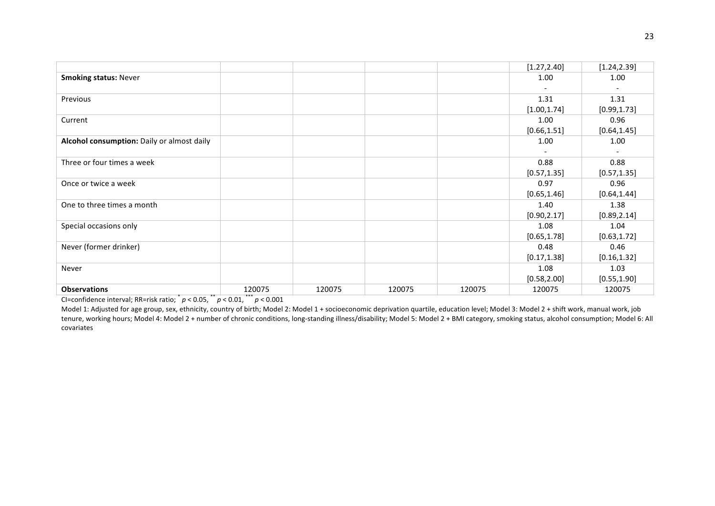|                                            |        |        |        |        | [1.27, 2.40] | [1.24, 2.39] |
|--------------------------------------------|--------|--------|--------|--------|--------------|--------------|
| <b>Smoking status: Never</b>               |        |        |        |        | 1.00         | 1.00         |
|                                            |        |        |        |        |              |              |
| Previous                                   |        |        |        |        | 1.31         | 1.31         |
|                                            |        |        |        |        | [1.00, 1.74] | [0.99, 1.73] |
| Current                                    |        |        |        |        | 1.00         | 0.96         |
|                                            |        |        |        |        | [0.66, 1.51] | [0.64, 1.45] |
| Alcohol consumption: Daily or almost daily |        |        |        |        | 1.00         | 1.00         |
|                                            |        |        |        |        |              |              |
| Three or four times a week                 |        |        |        |        | 0.88         | 0.88         |
|                                            |        |        |        |        | [0.57, 1.35] | [0.57, 1.35] |
| Once or twice a week                       |        |        |        |        | 0.97         | 0.96         |
|                                            |        |        |        |        | [0.65, 1.46] | [0.64, 1.44] |
| One to three times a month                 |        |        |        |        | 1.40         | 1.38         |
|                                            |        |        |        |        | [0.90, 2.17] | [0.89, 2.14] |
| Special occasions only                     |        |        |        |        | 1.08         | 1.04         |
|                                            |        |        |        |        | [0.65, 1.78] | [0.63, 1.72] |
| Never (former drinker)                     |        |        |        |        | 0.48         | 0.46         |
|                                            |        |        |        |        | [0.17, 1.38] | [0.16, 1.32] |
| Never                                      |        |        |        |        | 1.08         | 1.03         |
|                                            |        |        |        |        | [0.58, 2.00] | [0.55, 1.90] |
| <b>Observations</b>                        | 120075 | 120075 | 120075 | 120075 | 120075       | 120075       |

Model 1: Adjusted for age group, sex, ethnicity, country of birth; Model 2: Model 1 + socioeconomic deprivation quartile, education level; Model 3: Model 2 + shift work, manual work, job tenure, working hours; Model 4: Model 2 + number of chronic conditions, long-standing illness/disability; Model 5: Model 2 + BMI category, smoking status, alcohol consumption; Model 6: All covariates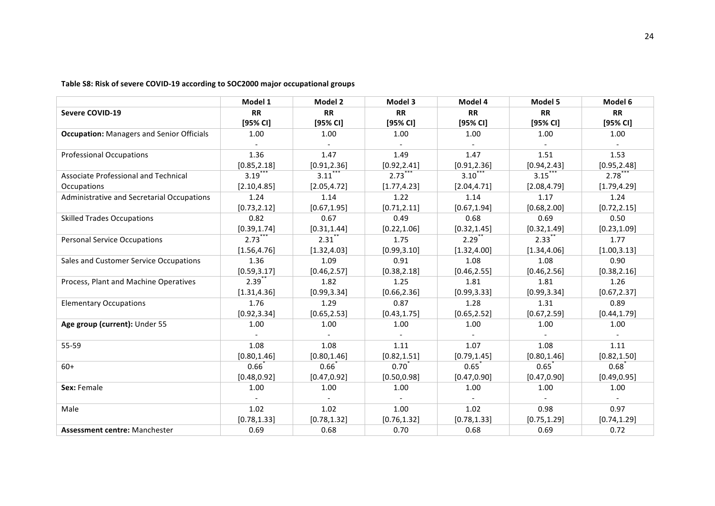|                                                  | Model 1             | Model 2              | Model 3      | Model 4             | Model 5             | Model 6      |
|--------------------------------------------------|---------------------|----------------------|--------------|---------------------|---------------------|--------------|
| <b>Severe COVID-19</b>                           | <b>RR</b>           | <b>RR</b>            | <b>RR</b>    | <b>RR</b>           | <b>RR</b>           | <b>RR</b>    |
|                                                  | [95% CI]            | [95% CI]             | [95% CI]     | [95% CI]            | [95% CI]            | [95% CI]     |
| <b>Occupation:</b> Managers and Senior Officials | 1.00                | 1.00                 | 1.00         | 1.00                | 1.00                | 1.00         |
|                                                  |                     |                      |              |                     |                     |              |
| <b>Professional Occupations</b>                  | 1.36                | 1.47                 | 1.49         | 1.47                | 1.51                | 1.53         |
|                                                  | [0.85, 2.18]        | [0.91, 2.36]         | [0.92, 2.41] | [0.91, 2.36]        | [0.94, 2.43]        | [0.95, 2.48] |
| Associate Professional and Technical             | 3.19                | $3.11$ <sup>**</sup> | 2.73         | $3.10^{*}$          | $3.15$ **           | $2.78$ **    |
| Occupations                                      | [2.10, 4.85]        | [2.05, 4.72]         | [1.77, 4.23] | [2.04, 4.71]        | [2.08, 4.79]        | [1.79, 4.29] |
| Administrative and Secretarial Occupations       | 1.24                | 1.14                 | 1.22         | 1.14                | 1.17                | 1.24         |
|                                                  | [0.73, 2.12]        | [0.67, 1.95]         | [0.71, 2.11] | [0.67, 1.94]        | [0.68, 2.00]        | [0.72, 2.15] |
| <b>Skilled Trades Occupations</b>                | 0.82                | 0.67                 | 0.49         | 0.68                | 0.69                | 0.50         |
|                                                  | [0.39, 1.74]        | [0.31, 1.44]         | [0.22, 1.06] | [0.32, 1.45]        | [0.32, 1.49]        | [0.23, 1.09] |
| <b>Personal Service Occupations</b>              | $2.73$ **           | $2.31$ <sup>*</sup>  | 1.75         | $2.29$ <sup>*</sup> | $2.33$ <sup>*</sup> | 1.77         |
|                                                  | [1.56, 4.76]        | [1.32, 4.03]         | [0.99, 3.10] | [1.32, 4.00]        | [1.34, 4.06]        | [1.00, 3.13] |
| Sales and Customer Service Occupations           | 1.36                | 1.09                 | 0.91         | 1.08                | 1.08                | 0.90         |
|                                                  | [0.59, 3.17]        | [0.46, 2.57]         | [0.38, 2.18] | [0.46, 2.55]        | [0.46, 2.56]        | [0.38, 2.16] |
| Process, Plant and Machine Operatives            | $2.39$ <sup>1</sup> | 1.82                 | 1.25         | 1.81                | 1.81                | 1.26         |
|                                                  | [1.31, 4.36]        | [0.99, 3.34]         | [0.66, 2.36] | [0.99, 3.33]        | [0.99, 3.34]        | [0.67, 2.37] |
| <b>Elementary Occupations</b>                    | 1.76                | 1.29                 | 0.87         | 1.28                | 1.31                | 0.89         |
|                                                  | [0.92, 3.34]        | [0.65, 2.53]         | [0.43, 1.75] | [0.65, 2.52]        | [0.67, 2.59]        | [0.44, 1.79] |
| Age group (current): Under 55                    | 1.00                | 1.00                 | 1.00         | 1.00                | 1.00                | 1.00         |
|                                                  |                     |                      | $\sim$       |                     |                     |              |
| 55-59                                            | 1.08                | 1.08                 | 1.11         | 1.07                | 1.08                | 1.11         |
|                                                  | [0.80, 1.46]        | [0.80, 1.46]         | [0.82, 1.51] | [0.79, 1.45]        | [0.80, 1.46]        | [0.82, 1.50] |
| $60+$                                            | 0.66                | $0.66^{*}$           | $0.70^{*}$   | $0.65^"$            | 0.65                | 0.68         |
|                                                  | [0.48, 0.92]        | [0.47, 0.92]         | [0.50, 0.98] | [0.47, 0.90]        | [0.47, 0.90]        | [0.49, 0.95] |
| Sex: Female                                      | 1.00                | 1.00                 | 1.00         | 1.00                | 1.00                | 1.00         |
|                                                  |                     |                      | $\sim$       |                     |                     |              |
| Male                                             | 1.02                | 1.02                 | 1.00         | 1.02                | 0.98                | 0.97         |
|                                                  | [0.78, 1.33]        | [0.78, 1.32]         | [0.76, 1.32] | [0.78, 1.33]        | [0.75, 1.29]        | [0.74, 1.29] |
| <b>Assessment centre: Manchester</b>             | 0.69                | 0.68                 | 0.70         | 0.68                | 0.69                | 0.72         |

Table S8: Risk of severe COVID-19 according to SOC2000 major occupational groups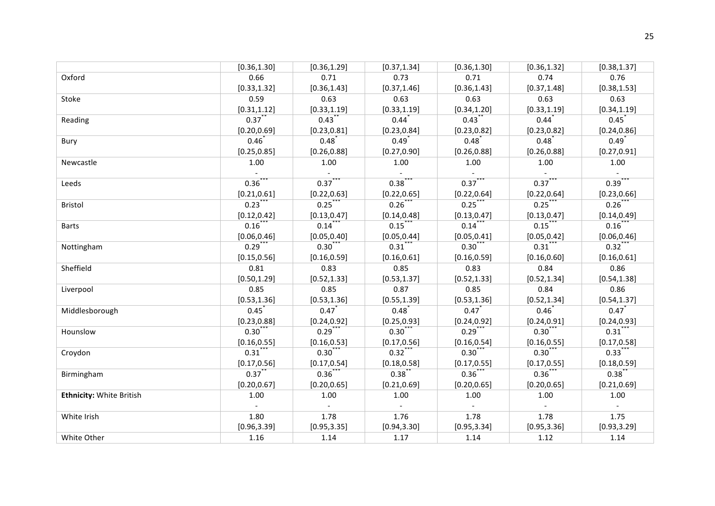|                                 | [0.36, 1.30]         | [0.36, 1.29]              | [0.37, 1.34]        | [0.36, 1.30] | [0.36, 1.32]        | [0.38, 1.37] |
|---------------------------------|----------------------|---------------------------|---------------------|--------------|---------------------|--------------|
| Oxford                          | 0.66                 | 0.71                      | 0.73                | 0.71         | 0.74                | 0.76         |
|                                 | [0.33, 1.32]         | [0.36, 1.43]              | [0.37, 1.46]        | [0.36, 1.43] | [0.37, 1.48]        | [0.38, 1.53] |
| Stoke                           | 0.59                 | 0.63                      | 0.63                | 0.63         | 0.63                | 0.63         |
|                                 | [0.31, 1.12]         | [0.33, 1.19]              | [0.33, 1.19]        | [0.34, 1.20] | [0.33, 1.19]        | [0.34, 1.19] |
| Reading                         | $0.37$ **            | $0.43$ **                 | $0.44$ <sup>*</sup> | $0.43$ **    | $0.44$ <sup>*</sup> | 0.45         |
|                                 | [0.20, 0.69]         | [0.23, 0.81]              | [0.23, 0.84]        | [0.23, 0.82] | [0.23, 0.82]        | [0.24, 0.86] |
| Bury                            | $0.46^{*}$           | 0.48                      | $0.49*$             | 0.48         | 0.48                | $0.49*$      |
|                                 | [0.25, 0.85]         | [0.26, 0.88]              | [0.27, 0.90]        | [0.26, 0.88] | [0.26, 0.88]        | [0.27, 0.91] |
| Newcastle                       | 1.00                 | 1.00                      | 1.00                | 1.00         | 1.00                | 1.00         |
|                                 |                      |                           | $\sim$              |              |                     |              |
| Leeds                           | $0.36***$            | $0.37***$                 | $0.38$ ***          | $0.37***$    | $0.37***$           | $0.39***$    |
|                                 | [0.21, 0.61]         | [0.22, 0.63]              | [0.22, 0.65]        | [0.22, 0.64] | [0.22, 0.64]        | [0.23, 0.66] |
| Bristol                         | $0.23$ **            | $0.25$ ***                | 0.26                | 0.25         | $0.25$ **           | 0.26         |
|                                 | [0.12, 0.42]         | [0.13, 0.47]              | [0.14, 0.48]        | [0.13, 0.47] | [0.13, 0.47]        | [0.14, 0.49] |
| <b>Barts</b>                    | $0.16$ **            | $0.14$ ***                | $0.15$ **           | $0.14$ ***   | $0.15$ ***          | $0.16$ **    |
|                                 | [0.06, 0.46]         | [0.05, 0.40]              | [0.05, 0.44]        | [0.05, 0.41] | [0.05, 0.42]        | [0.06, 0.46] |
| Nottingham                      | $0.29$ **            | 0.30                      | $0.31$ **           | 0.30         | $0.31$ **           | $0.32$ ***   |
|                                 | [0.15, 0.56]         | [0.16, 0.59]              | [0.16, 0.61]        | [0.16, 0.59] | [0.16, 0.60]        | [0.16, 0.61] |
| Sheffield                       | 0.81                 | 0.83                      | 0.85                | 0.83         | 0.84                | 0.86         |
|                                 | [0.50, 1.29]         | [0.52, 1.33]              | [0.53, 1.37]        | [0.52, 1.33] | [0.52, 1.34]        | [0.54, 1.38] |
| Liverpool                       | 0.85                 | 0.85                      | 0.87                | 0.85         | 0.84                | 0.86         |
|                                 | [0.53, 1.36]         | [0.53, 1.36]              | [0.55, 1.39]        | [0.53, 1.36] | [0.52, 1.34]        | [0.54, 1.37] |
| Middlesborough                  | 0.45                 | $0.47^{*}$                | $0.48^{*}$          | 0.47         | $0.46^{*}$          | 0.47         |
|                                 | [0.23, 0.88]         | [0.24, 0.92]              | [0.25, 0.93]        | [0.24, 0.92] | [0.24, 0.91]        | [0.24, 0.93] |
| Hounslow                        | $0.30^{11}$          | $0.29$ ***                | $0.30***$           | $0.29***$    | 0.30                | $0.31***$    |
|                                 | [0.16, 0.55]         | [0.16, 0.53]              | [0.17, 0.56]        | [0.16, 0.54] | [0.16, 0.55]        | [0.17, 0.58] |
| Croydon                         | $0.31$ <sup>**</sup> | $0.30***$                 | $0.32$ ***          | $0.30$ ***   | $0.30***$           | $0.33***$    |
|                                 | [0.17, 0.56]         | [0.17, 0.54]              | [0.18, 0.58]        | [0.17, 0.55] | [0.17, 0.55]        | [0.18, 0.59] |
| Birmingham                      | $0.37$ **            | $0.36$ ***                | 0.38                | $0.36***$    | $0.36$ ***          | 0.38         |
|                                 | [0.20, 0.67]         | [0.20, 0.65]              | [0.21, 0.69]        | [0.20, 0.65] | [0.20, 0.65]        | [0.21, 0.69] |
| <b>Ethnicity: White British</b> | 1.00                 | 1.00                      | 1.00                | 1.00         | 1.00                | 1.00         |
|                                 |                      | $\mathbb{L}^{\mathbb{N}}$ | $\sim$              | $\sim$       | $\sim$              | $\sim$       |
| White Irish                     | 1.80                 | 1.78                      | 1.76                | 1.78         | 1.78                | 1.75         |
|                                 | [0.96, 3.39]         | [0.95, 3.35]              | [0.94, 3.30]        | [0.95, 3.34] | [0.95, 3.36]        | [0.93, 3.29] |
| White Other                     | 1.16                 | 1.14                      | 1.17                | 1.14         | 1.12                | 1.14         |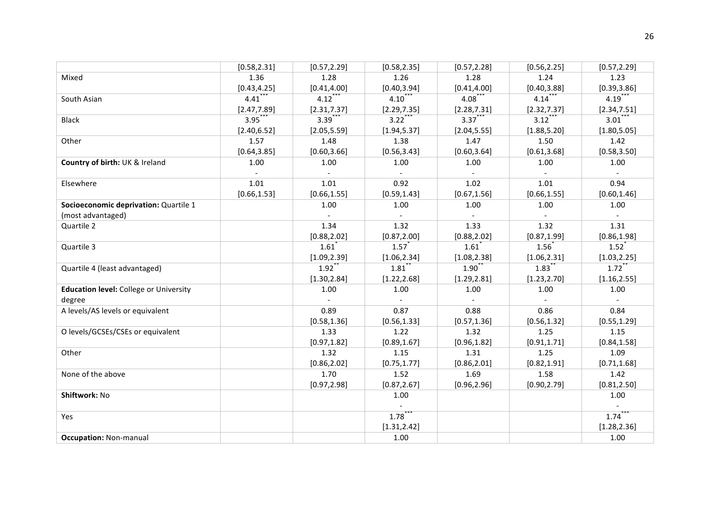|                                               | [0.58, 2.31]        | [0.57, 2.29]        | [0.58, 2.35]        | [0.57, 2.28]                | [0.56, 2.25]        | [0.57, 2.29]             |
|-----------------------------------------------|---------------------|---------------------|---------------------|-----------------------------|---------------------|--------------------------|
| Mixed                                         | 1.36                | 1.28                | 1.26                | 1.28                        | 1.24                | 1.23                     |
|                                               | [0.43, 4.25]        | [0.41, 4.00]        | [0.40, 3.94]        | [0.41, 4.00]                | [0.40, 3.88]        | [0.39, 3.86]             |
| South Asian                                   | $4.41$ <sup>*</sup> | $4.12$ **           | $4.10^{*}$          | 4.08                        | $4.14***$           | $4.19$ **                |
|                                               | [2.47, 7.89]        | [2.31, 7.37]        | [2.29, 7.35]        | [2.28, 7.31]                | [2.32, 7.37]        | [2.34, 7.51]             |
| <b>Black</b>                                  | $3.95***$           | $3.39***$           | $3.22***$           | $3.37***$                   | $3.12***$           | $3.01***$                |
|                                               | [2.40, 6.52]        | [2.05, 5.59]        | [1.94, 5.37]        | [2.04, 5.55]                | [1.88, 5.20]        | [1.80, 5.05]             |
| Other                                         | 1.57                | 1.48                | 1.38                | 1.47                        | 1.50                | 1.42                     |
|                                               | [0.64, 3.85]        | [0.60, 3.66]        | [0.56, 3.43]        | [0.60, 3.64]                | [0.61, 3.68]        | [0.58, 3.50]             |
| Country of birth: UK & Ireland                | 1.00                | 1.00                | 1.00                | 1.00                        | 1.00                | 1.00                     |
|                                               |                     |                     | $\sim$              |                             |                     |                          |
| Elsewhere                                     | 1.01                | 1.01                | 0.92                | 1.02                        | 1.01                | 0.94                     |
|                                               | [0.66, 1.53]        | [0.66, 1.55]        | [0.59, 1.43]        | [0.67, 1.56]                | [0.66, 1.55]        | [0.60, 1.46]             |
| Socioeconomic deprivation: Quartile 1         |                     | 1.00                | 1.00                | 1.00                        | 1.00                | 1.00                     |
| (most advantaged)                             |                     |                     | $\equiv$            |                             | $\blacksquare$      | $\overline{\phantom{a}}$ |
| Quartile 2                                    |                     | 1.34                | 1.32                | 1.33                        | 1.32                | 1.31                     |
|                                               |                     | [0.88, 2.02]        | [0.87, 2.00]        | [0.88, 2.02]                | [0.87, 1.99]        | [0.86, 1.98]             |
| Quartile 3                                    |                     | $1.61$ <sup>*</sup> | $1.57$ <sup>*</sup> | $1.61$ <sup>*</sup>         | $1.56^{*}$          | 1.52                     |
|                                               |                     | [1.09, 2.39]        | [1.06, 2.34]        | [1.08, 2.38]                | [1.06, 2.31]        | [1.03, 2.25]             |
| Quartile 4 (least advantaged)                 |                     | $1.92$ <sup>*</sup> | $1.81$ <sup>*</sup> | 1.90                        | $1.83$ <sup>*</sup> | $1.72$ <sup>**</sup>     |
|                                               |                     | [1.30, 2.84]        | [1.22, 2.68]        | [1.29, 2.81]                | [1.23, 2.70]        | [1.16, 2.55]             |
| <b>Education level:</b> College or University |                     | 1.00                | 1.00                | 1.00                        | 1.00                | 1.00                     |
| degree                                        |                     | $\blacksquare$      | $\omega$ .          | $\mathcal{L}_{\mathcal{A}}$ | $\sim$              | $\sim$                   |
| A levels/AS levels or equivalent              |                     | 0.89                | 0.87                | 0.88                        | 0.86                | 0.84                     |
|                                               |                     | [0.58, 1.36]        | [0.56, 1.33]        | [0.57, 1.36]                | [0.56, 1.32]        | [0.55, 1.29]             |
| O levels/GCSEs/CSEs or equivalent             |                     | 1.33                | 1.22                | 1.32                        | 1.25                | 1.15                     |
|                                               |                     | [0.97, 1.82]        | [0.89, 1.67]        | [0.96, 1.82]                | [0.91, 1.71]        | [0.84, 1.58]             |
| Other                                         |                     | 1.32                | 1.15                | 1.31                        | 1.25                | 1.09                     |
|                                               |                     | [0.86, 2.02]        | [0.75, 1.77]        | [0.86, 2.01]                | [0.82, 1.91]        | [0.71, 1.68]             |
| None of the above                             |                     | 1.70                | 1.52                | 1.69                        | 1.58                | 1.42                     |
|                                               |                     | [0.97, 2.98]        | [0.87, 2.67]        | [0.96, 2.96]                | [0.90, 2.79]        | [0.81, 2.50]             |
| Shiftwork: No                                 |                     |                     | 1.00                |                             |                     | 1.00                     |
|                                               |                     |                     | $\sim$              |                             |                     | $\blacksquare$           |
| Yes                                           |                     |                     | 1.78                |                             |                     | $1.74$ <sup>*</sup>      |
|                                               |                     |                     | [1.31, 2.42]        |                             |                     | [1.28, 2.36]             |
| <b>Occupation: Non-manual</b>                 |                     |                     | 1.00                |                             |                     | 1.00                     |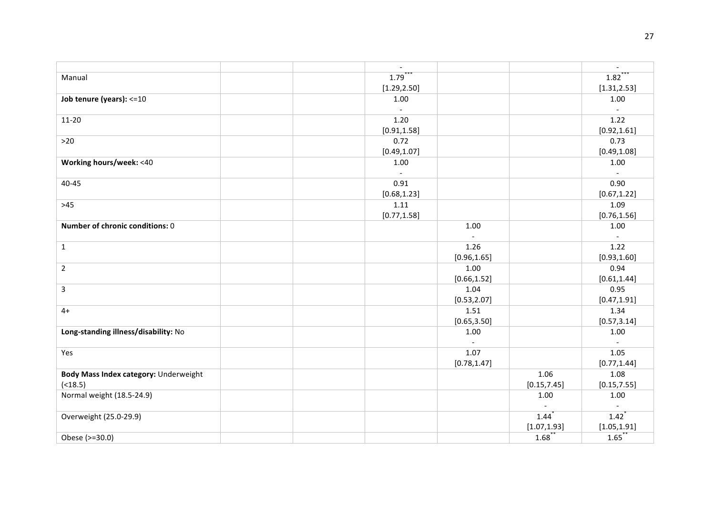|                                       | $\overline{\phantom{a}}$ |              |                | $\blacksquare$           |
|---------------------------------------|--------------------------|--------------|----------------|--------------------------|
| Manual                                | 1.79                     |              |                | $1.82$ <sup>*</sup>      |
|                                       | [1.29, 2.50]             |              |                | [1.31, 2.53]             |
| Job tenure (years): <= 10             | 1.00                     |              |                | 1.00                     |
|                                       | $\sim$                   |              |                | $\overline{\phantom{a}}$ |
| $11 - 20$                             | 1.20                     |              |                | 1.22                     |
|                                       | [0.91, 1.58]             |              |                | [0.92, 1.61]             |
| $>20$                                 | 0.72                     |              |                | 0.73                     |
|                                       | [0.49, 1.07]             |              |                | [0.49, 1.08]             |
| Working hours/week: <40               | 1.00                     |              |                | 1.00                     |
|                                       | $\sim$                   |              |                | $\overline{\phantom{a}}$ |
| $40 - 45$                             | 0.91                     |              |                | 0.90                     |
|                                       | [0.68, 1.23]             |              |                | [0.67, 1.22]             |
| $>45$                                 | 1.11                     |              |                | 1.09                     |
|                                       | [0.77, 1.58]             |              |                | [0.76, 1.56]             |
| Number of chronic conditions: 0       |                          | 1.00         |                | 1.00                     |
|                                       |                          |              |                |                          |
| $\mathbf{1}$                          |                          | 1.26         |                | 1.22                     |
|                                       |                          | [0.96, 1.65] |                | [0.93, 1.60]             |
| $\overline{2}$                        |                          | 1.00         |                | 0.94                     |
|                                       |                          | [0.66, 1.52] |                | [0.61, 1.44]             |
| 3                                     |                          | 1.04         |                | 0.95                     |
|                                       |                          | [0.53, 2.07] |                | [0.47, 1.91]             |
| $4+$                                  |                          | 1.51         |                | 1.34                     |
|                                       |                          | [0.65, 3.50] |                | [0.57, 3.14]             |
| Long-standing illness/disability: No  |                          | 1.00         |                | 1.00                     |
|                                       |                          | $\sim$       |                | $\overline{\phantom{a}}$ |
| Yes                                   |                          | 1.07         |                | 1.05                     |
|                                       |                          | [0.78, 1.47] |                | [0.77, 1.44]             |
| Body Mass Index category: Underweight |                          |              | 1.06           | 1.08                     |
| ( < 18.5)                             |                          |              | [0.15, 7.45]   | [0.15, 7.55]             |
| Normal weight (18.5-24.9)             |                          |              | 1.00           | 1.00                     |
|                                       |                          |              | $\blacksquare$ | $\blacksquare$           |
| Overweight (25.0-29.9)                |                          |              | 1.44           | $1.42$ <sup>*</sup>      |
|                                       |                          |              | [1.07, 1.93]   | [1.05, 1.91]             |
| Obese (>=30.0)                        |                          |              | 1.68           | 1.65                     |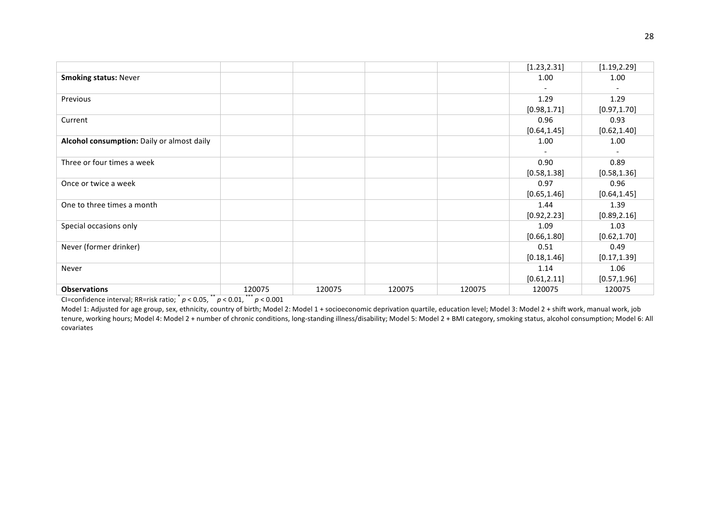|                                            |        |        |        |        | [1.23, 2.31] | [1.19, 2.29] |
|--------------------------------------------|--------|--------|--------|--------|--------------|--------------|
|                                            |        |        |        |        |              |              |
| <b>Smoking status: Never</b>               |        |        |        |        | 1.00         | 1.00         |
|                                            |        |        |        |        |              |              |
| Previous                                   |        |        |        |        | 1.29         | 1.29         |
|                                            |        |        |        |        | [0.98, 1.71] | [0.97, 1.70] |
| Current                                    |        |        |        |        | 0.96         | 0.93         |
|                                            |        |        |        |        | [0.64, 1.45] | [0.62, 1.40] |
| Alcohol consumption: Daily or almost daily |        |        |        |        | 1.00         | 1.00         |
|                                            |        |        |        |        |              |              |
| Three or four times a week                 |        |        |        |        | 0.90         | 0.89         |
|                                            |        |        |        |        | [0.58, 1.38] | [0.58, 1.36] |
| Once or twice a week                       |        |        |        |        | 0.97         | 0.96         |
|                                            |        |        |        |        | [0.65, 1.46] | [0.64, 1.45] |
| One to three times a month                 |        |        |        |        | 1.44         | 1.39         |
|                                            |        |        |        |        | [0.92, 2.23] | [0.89, 2.16] |
| Special occasions only                     |        |        |        |        | 1.09         | 1.03         |
|                                            |        |        |        |        | [0.66, 1.80] | [0.62, 1.70] |
| Never (former drinker)                     |        |        |        |        | 0.51         | 0.49         |
|                                            |        |        |        |        | [0.18, 1.46] | [0.17, 1.39] |
| Never                                      |        |        |        |        | 1.14         | 1.06         |
|                                            |        |        |        |        | [0.61, 2.11] | [0.57, 1.96] |
| <b>Observations</b>                        | 120075 | 120075 | 120075 | 120075 | 120075       | 120075       |
|                                            |        |        |        |        |              |              |

Model 1: Adjusted for age group, sex, ethnicity, country of birth; Model 2: Model 1 + socioeconomic deprivation quartile, education level; Model 3: Model 2 + shift work, manual work, job tenure, working hours; Model 4: Model 2 + number of chronic conditions, long-standing illness/disability; Model 5: Model 2 + BMI category, smoking status, alcohol consumption; Model 6: All covariates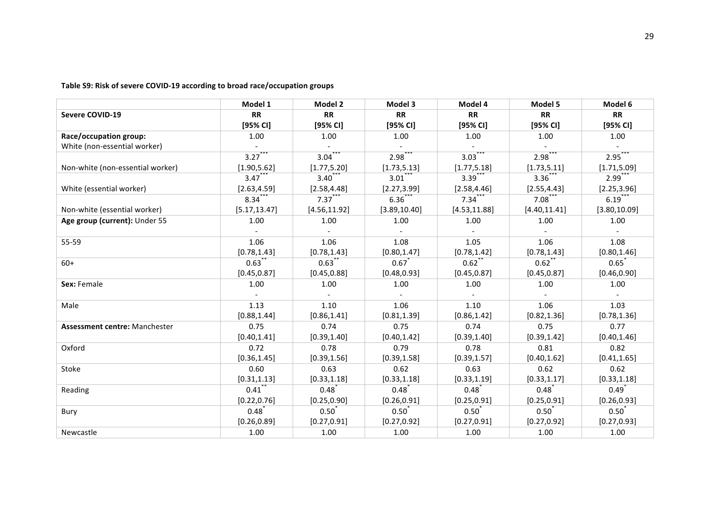Table S9: Risk of severe COVID-19 according to broad race/occupation groups

|                                      | Model 1             | Model 2       | Model 3       | Model 4              | Model 5       | Model 6             |
|--------------------------------------|---------------------|---------------|---------------|----------------------|---------------|---------------------|
| <b>Severe COVID-19</b>               | <b>RR</b>           | <b>RR</b>     | <b>RR</b>     | <b>RR</b>            | <b>RR</b>     | <b>RR</b>           |
|                                      | [95% CI]            | $[95%$ CI]    | [95% CI]      | [95% <sub>C</sub> 1] | $[95%$ CI]    | [95% CI]            |
| Race/occupation group:               | 1.00                | 1.00          | 1.00          | 1.00                 | 1.00          | 1.00                |
| White (non-essential worker)         |                     |               |               |                      |               |                     |
|                                      | 3.27                | 3.04          | 2.98          | 3.03                 | 2.98          | 2.95                |
| Non-white (non-essential worker)     | [1.90, 5.62]        | [1.77, 5.20]  | [1.73, 5.13]  | [1.77, 5.18]         | [1.73, 5.11]  | [1.71, 5.09]        |
|                                      | $3.47$ <sup>*</sup> | 3.40          | 3.01          | 3.39                 | $3.36$ **     | $2.99$ <sup>*</sup> |
| White (essential worker)             | [2.63, 4.59]        | [2.58, 4.48]  | [2.27, 3.99]  | [2.58, 4.46]         | [2.55, 4.43]  | [2.25, 3.96]        |
|                                      | 8.34                | $7.37***$     | $6.36^{*}$    | 7.34                 | $7.08$ **     | $6.19$ ***          |
| Non-white (essential worker)         | [5.17, 13.47]       | [4.56, 11.92] | [3.89, 10.40] | [4.53, 11.88]        | [4.40, 11.41] | [3.80, 10.09]       |
| Age group (current): Under 55        | 1.00                | 1.00          | 1.00          | 1.00                 | 1.00          | 1.00                |
|                                      |                     |               |               |                      |               | $\sim$              |
| 55-59                                | 1.06                | 1.06          | 1.08          | 1.05                 | 1.06          | 1.08                |
|                                      | [0.78, 1.43]        | [0.78, 1.43]  | [0.80, 1.47]  | [0.78, 1.42]         | [0.78, 1.43]  | [0.80, 1.46]        |
| $60+$                                | 0.63                | 0.63          | 0.67          | 0.62                 | 0.62          | 0.65                |
|                                      | [0.45, 0.87]        | [0.45, 0.88]  | [0.48, 0.93]  | [0.45, 0.87]         | [0.45, 0.87]  | [0.46, 0.90]        |
| Sex: Female                          | 1.00                | 1.00          | 1.00          | 1.00                 | 1.00          | 1.00                |
|                                      |                     |               |               |                      |               |                     |
| Male                                 | 1.13                | 1.10          | 1.06          | 1.10                 | 1.06          | 1.03                |
|                                      | [0.88, 1.44]        | [0.86, 1.41]  | [0.81, 1.39]  | [0.86, 1.42]         | [0.82, 1.36]  | [0.78, 1.36]        |
| <b>Assessment centre: Manchester</b> | 0.75                | 0.74          | 0.75          | 0.74                 | 0.75          | 0.77                |
|                                      | [0.40, 1.41]        | [0.39, 1.40]  | [0.40, 1.42]  | [0.39, 1.40]         | [0.39, 1.42]  | [0.40, 1.46]        |
| Oxford                               | 0.72                | 0.78          | 0.79          | 0.78                 | 0.81          | 0.82                |
|                                      | [0.36, 1.45]        | [0.39, 1.56]  | [0.39, 1.58]  | [0.39, 1.57]         | [0.40, 1.62]  | [0.41, 1.65]        |
| Stoke                                | 0.60                | 0.63          | 0.62          | 0.63                 | 0.62          | 0.62                |
|                                      | [0.31, 1.13]        | [0.33, 1.18]  | [0.33, 1.18]  | [0.33, 1.19]         | [0.33, 1.17]  | [0.33, 1.18]        |
| Reading                              | $0.41$ <sup>*</sup> | 0.48          | 0.48          | 0.48                 | $0.48^{*}$    | $0.49^{*}$          |
|                                      | [0.22, 0.76]        | [0.25, 0.90]  | [0.26, 0.91]  | [0.25, 0.91]         | [0.25, 0.91]  | [0.26, 0.93]        |
| Bury                                 | 0.48                | 0.50          | 0.50          | 0.50                 | 0.50          | 0.50                |
|                                      | [0.26, 0.89]        | [0.27, 0.91]  | [0.27, 0.92]  | [0.27, 0.91]         | [0.27, 0.92]  | [0.27, 0.93]        |
| Newcastle                            | 1.00                | 1.00          | 1.00          | 1.00                 | 1.00          | 1.00                |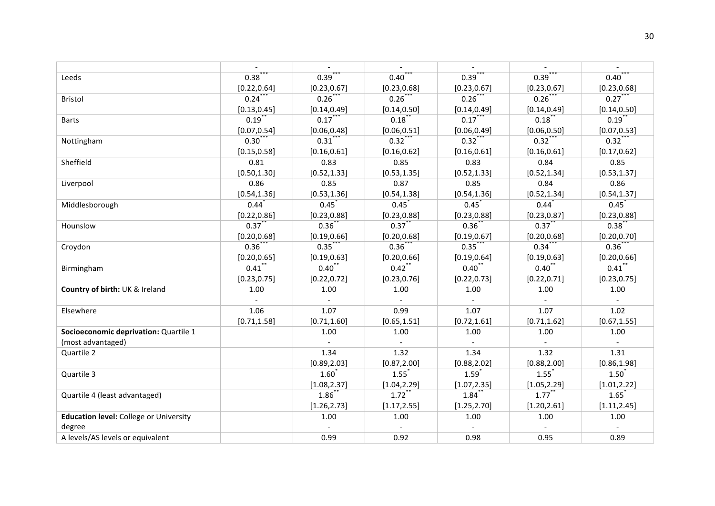|                                               | $\overline{\phantom{a}}$ |                |                           |                     |                             |                          |
|-----------------------------------------------|--------------------------|----------------|---------------------------|---------------------|-----------------------------|--------------------------|
| Leeds                                         | $0.38^{^{*}}$            | 0.39           | $0.40^{7}$                | 0.39                | 0.39                        | $0.40^{\degree}$         |
|                                               | [0.22, 0.64]             | [0.23, 0.67]   | [0.23, 0.68]              | [0.23, 0.67]        | [0.23, 0.67]                | [0.23, 0.68]             |
| <b>Bristol</b>                                | $0.24$ **                | $0.26***$      | $0.26***$                 | $0.26$ ***          | $0.26$ ***                  | $0.27***$                |
|                                               | [0.13, 0.45]             | [0.14, 0.49]   | [0.14, 0.50]              | [0.14, 0.49]        | [0.14, 0.49]                | [0.14, 0.50]             |
| <b>Barts</b>                                  | $0.19$ **                | $0.17***$      | $0.18$ **                 | $0.17***$           | $0.18$ **                   | $0.19***$                |
|                                               | [0.07, 0.54]             | [0.06, 0.48]   | [0.06, 0.51]              | [0.06, 0.49]        | [0.06, 0.50]                | [0.07, 0.53]             |
| Nottingham                                    | $0.30***$                | $0.31***$      | $0.32***$                 | $0.32***$           | $0.32***$                   | $0.32$ ***               |
|                                               | [0.15, 0.58]             | [0.16, 0.61]   | [0.16, 0.62]              | [0.16, 0.61]        | [0.16, 0.61]                | [0.17, 0.62]             |
| Sheffield                                     | 0.81                     | 0.83           | 0.85                      | 0.83                | 0.84                        | 0.85                     |
|                                               | [0.50, 1.30]             | [0.52, 1.33]   | [0.53, 1.35]              | [0.52, 1.33]        | [0.52, 1.34]                | [0.53, 1.37]             |
| Liverpool                                     | 0.86                     | 0.85           | 0.87                      | 0.85                | 0.84                        | 0.86                     |
|                                               | [0.54, 1.36]             | [0.53, 1.36]   | [0.54, 1.38]              | [0.54, 1.36]        | [0.52, 1.34]                | [0.54, 1.37]             |
| Middlesborough                                | 0.44                     | 0.45           | 0.45                      | 0.45                | 0.44                        | 0.45                     |
|                                               | [0.22, 0.86]             | [0.23, 0.88]   | [0.23, 0.88]              | [0.23, 0.88]        | [0.23, 0.87]                | [0.23, 0.88]             |
| Hounslow                                      | $0.37$ **                | $0.36^{*}$     | $0.37$ **                 | $0.36^{*}$          | 0.37                        | 0.38                     |
|                                               | [0.20, 0.68]             | [0.19, 0.66]   | [0.20, 0.68]              | [0.19, 0.67]        | [0.20, 0.68]                | [0.20, 0.70]             |
| Croydon                                       | $0.36^{*}$               | 0.35           | $0.36^{*}$                | 0.35                | $0.34$ <sup>*</sup>         | $0.36^{*}$               |
|                                               | [0.20, 0.65]             | [0.19, 0.63]   | [0.20, 0.66]              | [0.19, 0.64]        | [0.19, 0.63]                | [0.20, 0.66]             |
| Birmingham                                    | $0.41$ <sup>*</sup>      | 0.40           | 0.42                      | 0.40                | 0.40                        | $0.41$ <sup>*</sup>      |
|                                               | [0.23, 0.75]             | [0.22, 0.72]   | [0.23, 0.76]              | [0.22, 0.73]        | [0.22, 0.71]                | [0.23, 0.75]             |
| Country of birth: UK & Ireland                | 1.00                     | 1.00           | 1.00                      | 1.00                | 1.00                        | 1.00                     |
|                                               | $\mathcal{L}$            |                | $\mathbb{Z}^+$            | $\mathbb{L}$        | $\mathcal{L}^{\mathcal{A}}$ | $\sim$                   |
| Elsewhere                                     | 1.06                     | 1.07           | 0.99                      | 1.07                | 1.07                        | 1.02                     |
|                                               | [0.71, 1.58]             | [0.71, 1.60]   | [0.65, 1.51]              | [0.72, 1.61]        | [0.71, 1.62]                | [0.67, 1.55]             |
| Socioeconomic deprivation: Quartile 1         |                          | 1.00           | 1.00                      | 1.00                | 1.00                        | 1.00                     |
| (most advantaged)                             |                          | $\overline{a}$ | $\mathbb{Z}^{\mathbb{Z}}$ | $\mathcal{L}^{\pm}$ | $\sim$                      | $\sim$                   |
| Quartile 2                                    |                          | 1.34           | 1.32                      | 1.34                | 1.32                        | 1.31                     |
|                                               |                          | [0.89, 2.03]   | [0.87, 2.00]              | [0.88, 2.02]        | [0.88, 2.00]                | [0.86, 1.98]             |
| Quartile 3                                    |                          | 1.60           | 1.55                      | 1.59                | 1.55                        | 1.50                     |
|                                               |                          | [1.08, 2.37]   | [1.04, 2.29]              | [1.07, 2.35]        | [1.05, 2.29]                | [1.01, 2.22]             |
| Quartile 4 (least advantaged)                 |                          | 1.86           | 1.72                      | $1.84$ <sup>*</sup> | 1.77                        | 1.65                     |
|                                               |                          | [1.26, 2.73]   | [1.17, 2.55]              | [1.25, 2.70]        | [1.20, 2.61]                | [1.11, 2.45]             |
| <b>Education level:</b> College or University |                          | 1.00           | 1.00                      | 1.00                | 1.00                        | 1.00                     |
| degree                                        |                          |                | $\overline{a}$            |                     | $\sim$                      | $\overline{\phantom{a}}$ |
| A levels/AS levels or equivalent              |                          | 0.99           | 0.92                      | 0.98                | 0.95                        | 0.89                     |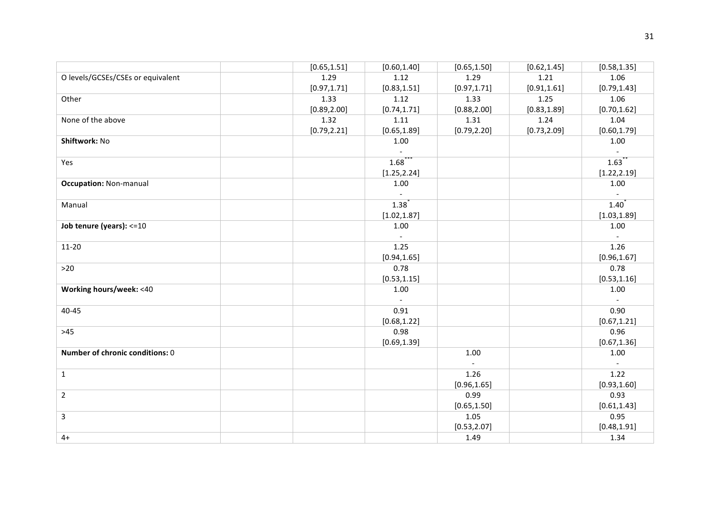|                                   | [0.65, 1.51] | [0.60, 1.40] | [0.65, 1.50] | [0.62, 1.45] | [0.58, 1.35]             |
|-----------------------------------|--------------|--------------|--------------|--------------|--------------------------|
| O levels/GCSEs/CSEs or equivalent | 1.29         | 1.12         | 1.29         | 1.21         | 1.06                     |
|                                   | [0.97, 1.71] | [0.83, 1.51] | [0.97, 1.71] | [0.91, 1.61] | [0.79, 1.43]             |
| Other                             | 1.33         | 1.12         | 1.33         | 1.25         | 1.06                     |
|                                   | [0.89, 2.00] | [0.74, 1.71] | [0.88, 2.00] | [0.83, 1.89] | [0.70, 1.62]             |
| None of the above                 | 1.32         | 1.11         | 1.31         | 1.24         | 1.04                     |
|                                   | [0.79, 2.21] | [0.65, 1.89] | [0.79, 2.20] | [0.73, 2.09] | [0.60, 1.79]             |
| Shiftwork: No                     |              | 1.00         |              |              | 1.00                     |
|                                   |              |              |              |              |                          |
| Yes                               |              | 1.68         |              |              | $1.63$ <sup>*</sup>      |
|                                   |              | [1.25, 2.24] |              |              | [1.22, 2.19]             |
| <b>Occupation: Non-manual</b>     |              | 1.00         |              |              | 1.00                     |
|                                   |              |              |              |              |                          |
| Manual                            |              | 1.38         |              |              | 1.40                     |
|                                   |              | [1.02, 1.87] |              |              | [1.03, 1.89]             |
| Job tenure (years): <= 10         |              | 1.00         |              |              | 1.00                     |
|                                   |              | $\sim$       |              |              | $\sim$                   |
| $11 - 20$                         |              | 1.25         |              |              | 1.26                     |
|                                   |              | [0.94, 1.65] |              |              | [0.96, 1.67]             |
| $>20$                             |              | 0.78         |              |              | 0.78                     |
|                                   |              | [0.53, 1.15] |              |              | [0.53, 1.16]             |
| <b>Working hours/week: &lt;40</b> |              | 1.00         |              |              | 1.00                     |
|                                   |              | $\sim$       |              |              | $\sim$                   |
| 40-45                             |              | 0.91         |              |              | 0.90                     |
|                                   |              | [0.68, 1.22] |              |              | [0.67, 1.21]             |
| $>45$                             |              | 0.98         |              |              | 0.96                     |
|                                   |              | [0.69, 1.39] |              |              | [0.67, 1.36]             |
| Number of chronic conditions: 0   |              |              | 1.00         |              | 1.00                     |
|                                   |              |              | $\sim$       |              | $\overline{\phantom{a}}$ |
| $\mathbf{1}$                      |              |              | 1.26         |              | 1.22                     |
|                                   |              |              | [0.96, 1.65] |              | [0.93, 1.60]             |
| $\overline{2}$                    |              |              | 0.99         |              | 0.93                     |
|                                   |              |              | [0.65, 1.50] |              | [0.61, 1.43]             |
| $\overline{3}$                    |              |              | 1.05         |              | 0.95                     |
|                                   |              |              | [0.53, 2.07] |              | [0.48, 1.91]             |
| $4+$                              |              |              | 1.49         |              | 1.34                     |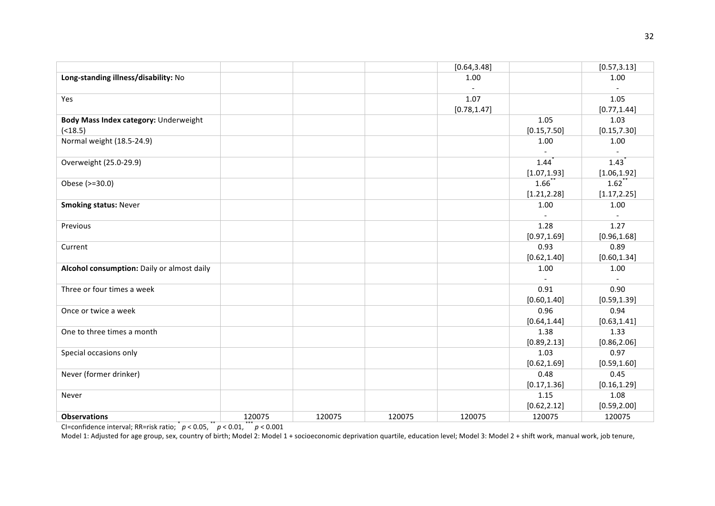|                                            |        |        |        | [0.64, 3.48] |              | [0.57, 3.13] |
|--------------------------------------------|--------|--------|--------|--------------|--------------|--------------|
| Long-standing illness/disability: No       |        |        |        | 1.00         |              | 1.00         |
|                                            |        |        |        |              |              |              |
| Yes                                        |        |        |        | 1.07         |              | 1.05         |
|                                            |        |        |        | [0.78, 1.47] |              | [0.77, 1.44] |
| Body Mass Index category: Underweight      |        |        |        |              | 1.05         | 1.03         |
| ( < 18.5)                                  |        |        |        |              | [0.15, 7.50] | [0.15, 7.30] |
| Normal weight (18.5-24.9)                  |        |        |        |              | 1.00         | 1.00         |
|                                            |        |        |        |              |              |              |
| Overweight (25.0-29.9)                     |        |        |        |              | 1.44         | 1.43         |
|                                            |        |        |        |              | [1.07, 1.93] | [1.06, 1.92] |
| Obese (>=30.0)                             |        |        |        |              | 1.66         | 1.62         |
|                                            |        |        |        |              | [1.21, 2.28] | [1.17, 2.25] |
| <b>Smoking status: Never</b>               |        |        |        |              | 1.00         | 1.00         |
|                                            |        |        |        |              | $\sim$       | $\sim$       |
| Previous                                   |        |        |        |              | 1.28         | 1.27         |
|                                            |        |        |        |              | [0.97, 1.69] | [0.96, 1.68] |
| Current                                    |        |        |        |              | 0.93         | 0.89         |
|                                            |        |        |        |              | [0.62, 1.40] | [0.60, 1.34] |
| Alcohol consumption: Daily or almost daily |        |        |        |              | 1.00         | 1.00         |
|                                            |        |        |        |              |              |              |
| Three or four times a week                 |        |        |        |              | 0.91         | 0.90         |
|                                            |        |        |        |              | [0.60, 1.40] | [0.59, 1.39] |
| Once or twice a week                       |        |        |        |              | 0.96         | 0.94         |
|                                            |        |        |        |              | [0.64, 1.44] | [0.63, 1.41] |
| One to three times a month                 |        |        |        |              | 1.38         | 1.33         |
|                                            |        |        |        |              | [0.89, 2.13] | [0.86, 2.06] |
| Special occasions only                     |        |        |        |              | 1.03         | 0.97         |
|                                            |        |        |        |              | [0.62, 1.69] | [0.59, 1.60] |
| Never (former drinker)                     |        |        |        |              | 0.48         | 0.45         |
|                                            |        |        |        |              | [0.17, 1.36] | [0.16, 1.29] |
| Never                                      |        |        |        |              | 1.15         | 1.08         |
|                                            |        |        |        |              | [0.62, 2.12] | [0.59, 2.00] |
| <b>Observations</b>                        | 120075 | 120075 | 120075 | 120075       | 120075       | 120075       |

Model 1: Adjusted for age group, sex, country of birth; Model 2: Model 1 + socioeconomic deprivation quartile, education level; Model 3: Model 2 + shift work, manual work, job tenure,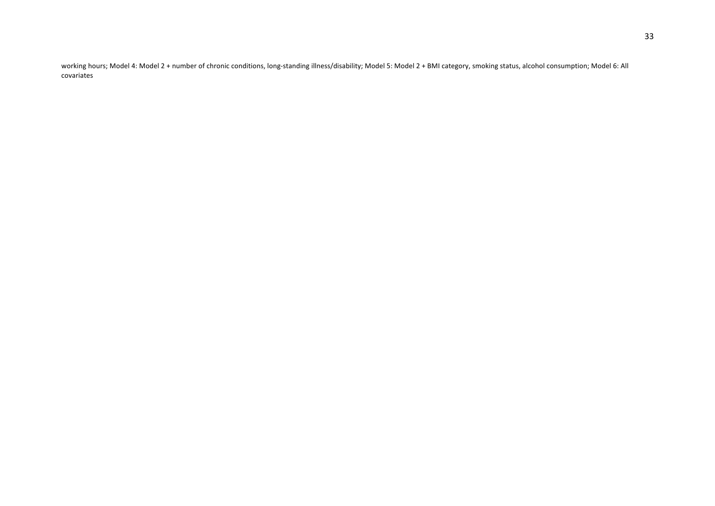working hours; Model 4: Model 2 + number of chronic conditions, long-standing illness/disability; Model 5: Model 2 + BMI category, smoking status, alcohol consumption; Model 6: All covariates